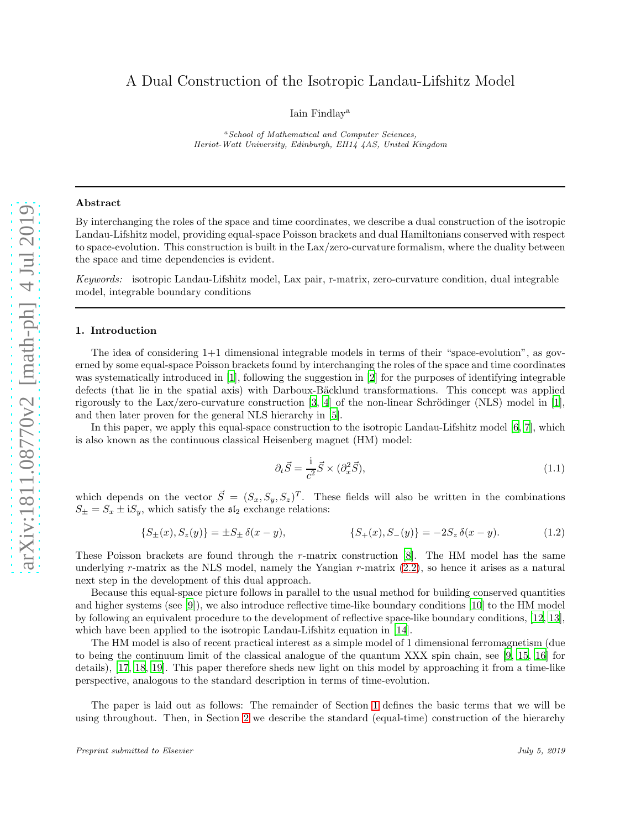# A Dual Construction of the Isotropic Landau-Lifshitz Model

Iain Findlay<sup>a</sup>

<sup>a</sup>School of Mathematical and Computer Sciences, Heriot-Watt University, Edinburgh, EH14 4AS, United Kingdom

### Abstract

By interchanging the roles of the space and time coordinates, we describe a dual construction of the isotropic Landau-Lifshitz model, providing equal-space Poisson brackets and dual Hamiltonians conserved with respect to space-evolution. This construction is built in the Lax/zero-curvature formalism, where the duality between the space and time dependencies is evident.

*Keywords:* isotropic Landau-Lifshitz model, Lax pair, r-matrix, zero-curvature condition, dual integrable model, integrable boundary conditions

#### <span id="page-0-0"></span>1. Introduction

The idea of considering 1+1 dimensional integrable models in terms of their "space-evolution", as governed by some equal-space Poisson brackets found by interchanging the roles of the space and time coordinates was systematically introduced in [\[1](#page-16-0)], following the suggestion in [\[2](#page-16-1)] for the purposes of identifying integrable defects (that lie in the spatial axis) with Darboux-Bäcklund transformations. This concept was applied rigorously to the Lax/zero-curvature construction  $[3, 4]$  $[3, 4]$  $[3, 4]$  of the non-linear Schrödinger (NLS) model in  $[1]$ , and then later proven for the general NLS hierarchy in [\[5\]](#page-16-4).

In this paper, we apply this equal-space construction to the isotropic Landau-Lifshitz model [\[6,](#page-16-5) [7](#page-16-6)], which is also known as the continuous classical Heisenberg magnet (HM) model:

<span id="page-0-1"></span>
$$
\partial_t \vec{S} = \frac{1}{c^2} \vec{S} \times (\partial_x^2 \vec{S}),\tag{1.1}
$$

which depends on the vector  $\vec{S} = (S_x, S_y, S_z)^T$ . These fields will also be written in the combinations  $S_{\pm} = S_x \pm iS_y$ , which satisfy the  $\mathfrak{sl}_2$  exchange relations:

<span id="page-0-2"></span>
$$
\{S_{\pm}(x), S_{z}(y)\} = \pm S_{\pm} \,\delta(x - y), \qquad \{S_{+}(x), S_{-}(y)\} = -2S_{z} \,\delta(x - y). \tag{1.2}
$$

These Poisson brackets are found through the r-matrix construction [\[8\]](#page-16-7). The HM model has the same underlying r-matrix as the NLS model, namely the Yangian r-matrix [\(2.2\)](#page-2-0), so hence it arises as a natural next step in the development of this dual approach.

Because this equal-space picture follows in parallel to the usual method for building conserved quantities and higher systems (see [\[9\]](#page-16-8)), we also introduce reflective time-like boundary conditions [\[10\]](#page-16-9) to the HM model by following an equivalent procedure to the development of reflective space-like boundary conditions, [\[12](#page-16-10), [13\]](#page-16-11), which have been applied to the isotropic Landau-Lifshitz equation in [\[14\]](#page-16-12).

The HM model is also of recent practical interest as a simple model of 1 dimensional ferromagnetism (due to being the continuum limit of the classical analogue of the quantum XXX spin chain, see [\[9](#page-16-8), [15,](#page-16-13) [16\]](#page-16-14) for details), [\[17,](#page-16-15) [18,](#page-17-0) [19](#page-17-1)]. This paper therefore sheds new light on this model by approaching it from a time-like perspective, analogous to the standard description in terms of time-evolution.

The paper is laid out as follows: The remainder of Section [1](#page-0-0) defines the basic terms that we will be using throughout. Then, in Section [2](#page-1-0) we describe the standard (equal-time) construction of the hierarchy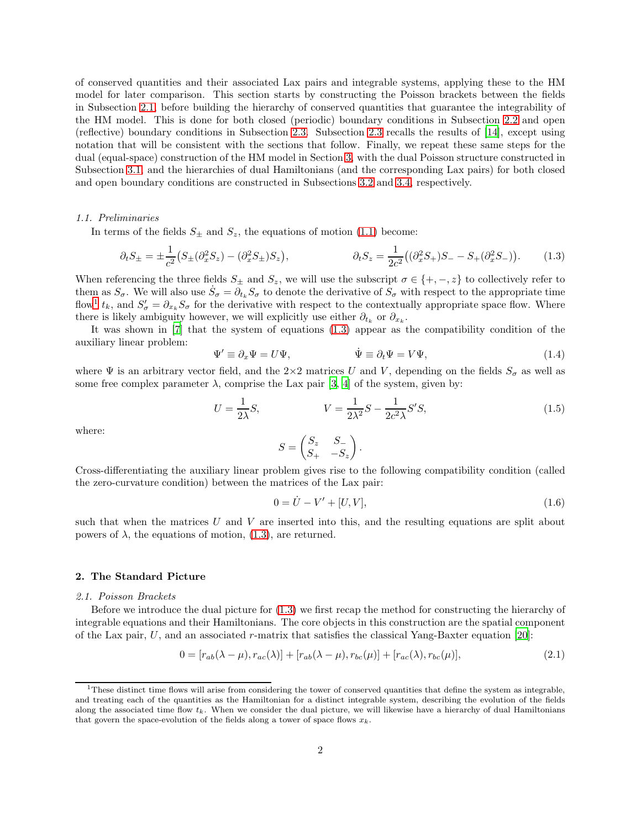of conserved quantities and their associated Lax pairs and integrable systems, applying these to the HM model for later comparison. This section starts by constructing the Poisson brackets between the fields in Subsection [2.1,](#page-1-1) before building the hierarchy of conserved quantities that guarantee the integrability of the HM model. This is done for both closed (periodic) boundary conditions in Subsection [2.2](#page-2-1) and open (reflective) boundary conditions in Subsection [2.3.](#page-5-0) Subsection [2.3](#page-5-0) recalls the results of [\[14\]](#page-16-12), except using notation that will be consistent with the sections that follow. Finally, we repeat these same steps for the dual (equal-space) construction of the HM model in Section [3,](#page-7-0) with the dual Poisson structure constructed in Subsection [3.1,](#page-7-1) and the hierarchies of dual Hamiltonians (and the corresponding Lax pairs) for both closed and open boundary conditions are constructed in Subsections [3.2](#page-8-0) and [3.4,](#page-12-0) respectively.

## *1.1. Preliminaries*

In terms of the fields  $S_{\pm}$  and  $S_z$ , the equations of motion [\(1.1\)](#page-0-1) become:

<span id="page-1-3"></span>
$$
\partial_t S_{\pm} = \pm \frac{1}{c^2} \big( S_{\pm} (\partial_x^2 S_z) - (\partial_x^2 S_{\pm}) S_z \big), \qquad \qquad \partial_t S_z = \frac{1}{2c^2} \big( (\partial_x^2 S_{+}) S_- - S_+ (\partial_x^2 S_-) \big). \tag{1.3}
$$

When referencing the three fields  $S_{\pm}$  and  $S_{z}$ , we will use the subscript  $\sigma \in \{+, -z\}$  to collectively refer to them as  $S_{\sigma}$ . We will also use  $\dot{S}_{\sigma} = \partial_{t_k} S_{\sigma}$  to denote the derivative of  $S_{\sigma}$  with respect to the appropriate time flow<sup>[1](#page-1-2)</sup>  $t_k$ , and  $S'_{\sigma} = \partial_{x_k} S_{\sigma}$  for the derivative with respect to the contextually appropriate space flow. Where there is likely ambiguity however, we will explicitly use either  $\partial_{t_k}$  or  $\partial_{x_k}$ .

It was shown in [\[7](#page-16-6)] that the system of equations [\(1.3\)](#page-1-3) appear as the compatibility condition of the auxiliary linear problem:

<span id="page-1-5"></span>
$$
\Psi' \equiv \partial_x \Psi = U \Psi, \qquad \dot{\Psi} \equiv \partial_t \Psi = V \Psi, \qquad (1.4)
$$

where  $\Psi$  is an arbitrary vector field, and the 2×2 matrices U and V, depending on the fields  $S_{\sigma}$  as well as some free complex parameter  $\lambda$ , comprise the Lax pair [\[3](#page-16-2), [4\]](#page-16-3) of the system, given by:

<span id="page-1-4"></span>
$$
U = \frac{1}{2\lambda}S, \qquad V = \frac{1}{2\lambda^2}S - \frac{1}{2c^2\lambda}S'S,\tag{1.5}
$$

where:

$$
S = \begin{pmatrix} S_z & S_- \\ S_+ & -S_z \end{pmatrix}.
$$

Cross-differentiating the auxiliary linear problem gives rise to the following compatibility condition (called the zero-curvature condition) between the matrices of the Lax pair:

$$
0 = \dot{U} - V' + [U, V], \tag{1.6}
$$

such that when the matrices  $U$  and  $V$  are inserted into this, and the resulting equations are split about powers of  $λ$ , the equations of motion, [\(1.3\)](#page-1-3), are returned.

## <span id="page-1-1"></span><span id="page-1-0"></span>2. The Standard Picture

#### *2.1. Poisson Brackets*

Before we introduce the dual picture for [\(1.3\)](#page-1-3) we first recap the method for constructing the hierarchy of integrable equations and their Hamiltonians. The core objects in this construction are the spatial component of the Lax pair, U, and an associated r-matrix that satisfies the classical Yang-Baxter equation [\[20](#page-17-2)]:

$$
0 = [r_{ab}(\lambda - \mu), r_{ac}(\lambda)] + [r_{ab}(\lambda - \mu), r_{bc}(\mu)] + [r_{ac}(\lambda), r_{bc}(\mu)],
$$
\n(2.1)

<span id="page-1-2"></span> $1$ These distinct time flows will arise from considering the tower of conserved quantities that define the system as integrable, and treating each of the quantities as the Hamiltonian for a distinct integrable system, describing the evolution of the fields along the associated time flow  $t_k$ . When we consider the dual picture, we will likewise have a hierarchy of dual Hamiltonians that govern the space-evolution of the fields along a tower of space flows  $x_k$ .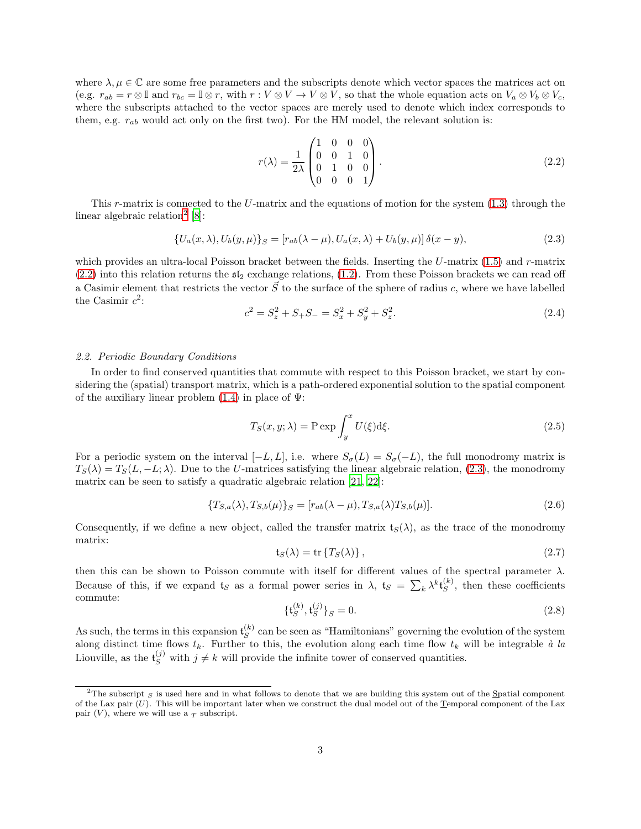where  $\lambda, \mu \in \mathbb{C}$  are some free parameters and the subscripts denote which vector spaces the matrices act on (e.g.  $r_{ab} = r \otimes \mathbb{I}$  and  $r_{bc} = \mathbb{I} \otimes r$ , with  $r : V \otimes V \to V \otimes V$ , so that the whole equation acts on  $V_a \otimes V_b \otimes V_c$ , where the subscripts attached to the vector spaces are merely used to denote which index corresponds to them, e.g.  $r_{ab}$  would act only on the first two). For the HM model, the relevant solution is:

<span id="page-2-0"></span>
$$
r(\lambda) = \frac{1}{2\lambda} \begin{pmatrix} 1 & 0 & 0 & 0 \\ 0 & 0 & 1 & 0 \\ 0 & 1 & 0 & 0 \\ 0 & 0 & 0 & 1 \end{pmatrix}.
$$
 (2.2)

This r-matrix is connected to the U-matrix and the equations of motion for the system  $(1.3)$  through the linear algebraic relation<sup>[2](#page-2-2)</sup>  $[8]$ :

<span id="page-2-3"></span>
$$
\{U_a(x,\lambda), U_b(y,\mu)\}_S = [r_{ab}(\lambda - \mu), U_a(x,\lambda) + U_b(y,\mu)] \,\delta(x - y),\tag{2.3}
$$

which provides an ultra-local Poisson bracket between the fields. Inserting the  $U$ -matrix  $(1.5)$  and r-matrix  $(2.2)$  into this relation returns the  $\mathfrak{sl}_2$  exchange relations,  $(1.2)$ . From these Poisson brackets we can read off a Casimir element that restricts the vector  $\vec{S}$  to the surface of the sphere of radius c, where we have labelled the Casimir  $c^2$ :

<span id="page-2-7"></span>
$$
c^2 = S_z^2 + S_+ S_- = S_x^2 + S_y^2 + S_z^2. \tag{2.4}
$$

## <span id="page-2-1"></span>*2.2. Periodic Boundary Conditions*

In order to find conserved quantities that commute with respect to this Poisson bracket, we start by considering the (spatial) transport matrix, which is a path-ordered exponential solution to the spatial component of the auxiliary linear problem  $(1.4)$  in place of  $\Psi$ :

<span id="page-2-4"></span>
$$
T_S(x, y; \lambda) = \text{P} \exp \int_y^x U(\xi) \, \mathrm{d}\xi. \tag{2.5}
$$

For a periodic system on the interval  $[-L, L]$ , i.e. where  $S_{\sigma}(L) = S_{\sigma}(-L)$ , the full monodromy matrix is  $T_S(\lambda) = T_S(L, -L; \lambda)$ . Due to the U-matrices satisfying the linear algebraic relation, [\(2.3\)](#page-2-3), the monodromy matrix can be seen to satisfy a quadratic algebraic relation [\[21](#page-17-3), [22\]](#page-17-4):

<span id="page-2-6"></span>
$$
\{T_{S,a}(\lambda), T_{S,b}(\mu)\}_S = [r_{ab}(\lambda - \mu), T_{S,a}(\lambda)T_{S,b}(\mu)].
$$
\n(2.6)

Consequently, if we define a new object, called the transfer matrix  $\mathfrak{t}_S(\lambda)$ , as the trace of the monodromy matrix:

<span id="page-2-5"></span>
$$
\mathfrak{t}_S(\lambda) = \text{tr}\left\{T_S(\lambda)\right\},\tag{2.7}
$$

then this can be shown to Poisson commute with itself for different values of the spectral parameter  $\lambda$ . Because of this, if we expand  $t_S$  as a formal power series in  $\lambda$ ,  $t_S = \sum_k \lambda^k t_S^{(k)}$ , then these coefficients commute:

$$
\{\mathfrak{t}_{S}^{(k)}, \mathfrak{t}_{S}^{(j)}\}_{S} = 0. \tag{2.8}
$$

As such, the terms in this expansion  $\mathfrak{t}_S^{(k)}$  can be seen as "Hamiltonians" governing the evolution of the system along distinct time flows  $t_k$ . Further to this, the evolution along each time flow  $t_k$  will be integrable  $\dot{a}$  la Liouville, as the  $\mathfrak{t}_S^{(j)}$  with  $j \neq k$  will provide the infinite tower of conserved quantities.

<span id="page-2-2"></span><sup>&</sup>lt;sup>2</sup>The subscript  $\varsigma$  is used here and in what follows to denote that we are building this system out of the Spatial component of the Lax pair  $(U)$ . This will be important later when we construct the dual model out of the  $\Gamma$ emporal component of the Lax pair  $(V)$ , where we will use a  $T$  subscript.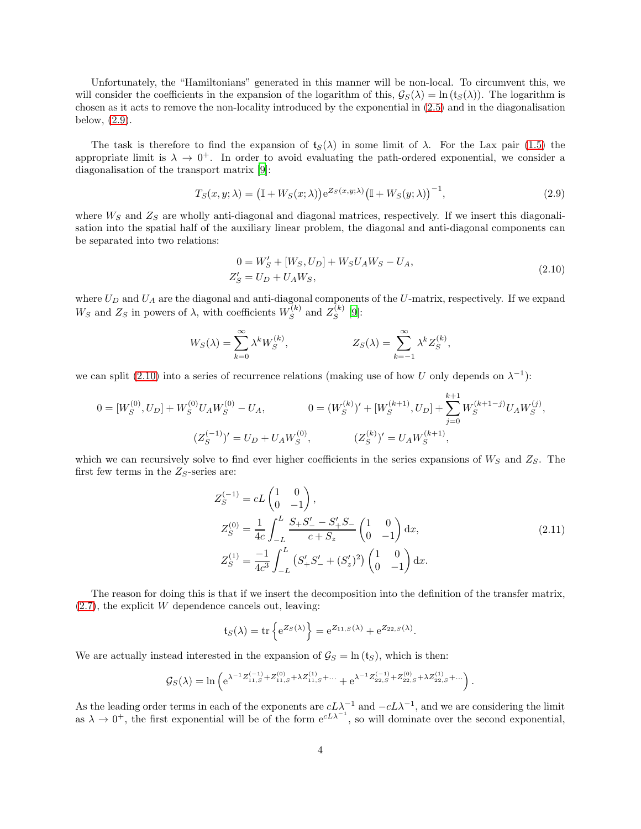Unfortunately, the "Hamiltonians" generated in this manner will be non-local. To circumvent this, we will consider the coefficients in the expansion of the logarithm of this,  $\mathcal{G}_{S}(\lambda) = \ln(t_S(\lambda))$ . The logarithm is chosen as it acts to remove the non-locality introduced by the exponential in [\(2.5\)](#page-2-4) and in the diagonalisation below, [\(2.9\)](#page-3-0).

The task is therefore to find the expansion of  $t_S(\lambda)$  in some limit of  $\lambda$ . For the Lax pair [\(1.5\)](#page-1-4) the appropriate limit is  $\lambda \to 0^+$ . In order to avoid evaluating the path-ordered exponential, we consider a diagonalisation of the transport matrix [\[9\]](#page-16-8):

<span id="page-3-0"></span>
$$
T_S(x, y; \lambda) = \left(\mathbb{I} + W_S(x; \lambda)\right) e^{Z_S(x, y; \lambda)} \left(\mathbb{I} + W_S(y; \lambda)\right)^{-1},\tag{2.9}
$$

where  $W_S$  and  $Z_S$  are wholly anti-diagonal and diagonal matrices, respectively. If we insert this diagonalisation into the spatial half of the auxiliary linear problem, the diagonal and anti-diagonal components can be separated into two relations:

<span id="page-3-1"></span>
$$
0 = W'_{S} + [W_{S}, U_{D}] + W_{S}U_{A}W_{S} - U_{A},
$$
  
\n
$$
Z'_{S} = U_{D} + U_{A}W_{S},
$$
\n(2.10)

where  $U_D$  and  $U_A$  are the diagonal and anti-diagonal components of the U-matrix, respectively. If we expand  $W_S$  and  $Z_S$  in powers of  $\lambda$ , with coefficients  $W_S^{(k)}$  and  $Z_S^{(k)}$  [\[9](#page-16-8)]:

$$
W_S(\lambda) = \sum_{k=0}^{\infty} \lambda^k W_S^{(k)}, \qquad Z_S(\lambda) = \sum_{k=-1}^{\infty} \lambda^k Z_S^{(k)},
$$

we can split [\(2.10\)](#page-3-1) into a series of recurrence relations (making use of how U only depends on  $\lambda^{-1}$ ):

$$
0 = [W_S^{(0)}, U_D] + W_S^{(0)} U_A W_S^{(0)} - U_A, \t 0 = (W_S^{(k)})' + [W_S^{(k+1)}, U_D] + \sum_{j=0}^{k+1} W_S^{(k+1-j)} U_A W_S^{(j)},
$$
  

$$
(Z_S^{(-1)})' = U_D + U_A W_S^{(0)}, \t (Z_S^{(k)})' = U_A W_S^{(k+1)},
$$

which we can recursively solve to find ever higher coefficients in the series expansions of  $W_S$  and  $Z_S$ . The first few terms in the  $Z_S$ -series are:

$$
Z_S^{(-1)} = cL \begin{pmatrix} 1 & 0 \\ 0 & -1 \end{pmatrix},
$$
  
\n
$$
Z_S^{(0)} = \frac{1}{4c} \int_{-L}^{L} \frac{S_+ S_-'}{c + S_z} - \frac{S_+'}{c + S_z} \begin{pmatrix} 1 & 0 \\ 0 & -1 \end{pmatrix} dx,
$$
  
\n
$$
Z_S^{(1)} = \frac{-1}{4c^3} \int_{-L}^{L} (S_+' S_-' + (S_z')^2) \begin{pmatrix} 1 & 0 \\ 0 & -1 \end{pmatrix} dx.
$$
\n(2.11)

The reason for doing this is that if we insert the decomposition into the definition of the transfer matrix,  $(2.7)$ , the explicit W dependence cancels out, leaving:

$$
\mathfrak{t}_S(\lambda) = \text{tr}\left\{e^{Z_S(\lambda)}\right\} = e^{Z_{11,S}(\lambda)} + e^{Z_{22,S}(\lambda)}.
$$

We are actually instead interested in the expansion of  $\mathcal{G}_S = \ln(\mathfrak{t}_S)$ , which is then:

$$
\mathcal{G}_{S}(\lambda)=\ln\left(\mathrm{e}^{\lambda^{-1}Z_{11,S}^{(-1)}+Z_{11,S}^{(0)}+\lambda Z_{11,S}^{(1)}+\ldots}+\mathrm{e}^{\lambda^{-1}Z_{22,S}^{(-1)}+Z_{22,S}^{(0)}+\lambda Z_{22,S}^{(1)}+\ldots}\right).
$$

As the leading order terms in each of the exponents are  $cL\lambda^{-1}$  and  $-cL\lambda^{-1}$ , and we are considering the limit as  $\lambda \to 0^+$ , the first exponential will be of the form  $e^{cL\lambda^{-1}}$ , so will dominate over the second exponential,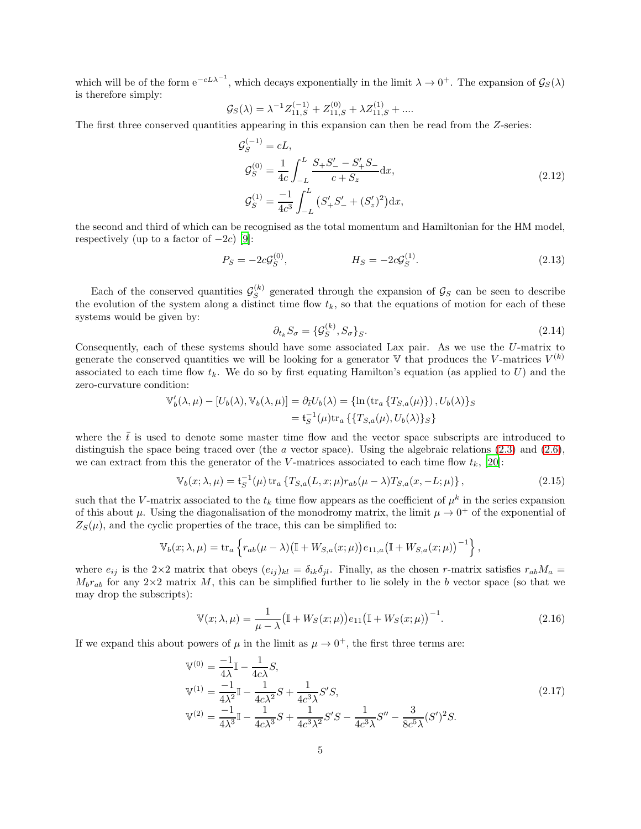which will be of the form  $e^{-cL\lambda^{-1}}$ , which decays exponentially in the limit  $\lambda \to 0^+$ . The expansion of  $\mathcal{G}_{S}(\lambda)$ is therefore simply:

$$
\mathcal{G}_{S}(\lambda) = \lambda^{-1}Z_{11,S}^{(-1)} + Z_{11,S}^{(0)} + \lambda Z_{11,S}^{(1)} + \dots
$$

The first three conserved quantities appearing in this expansion can then be read from the Z-series:

<span id="page-4-0"></span>
$$
g_S^{(-1)} = cL,
$$
  
\n
$$
g_S^{(0)} = \frac{1}{4c} \int_{-L}^{L} \frac{S_+ S_-^{\prime} - S_+^{\prime} S_-}{c + S_z} dx,
$$
  
\n
$$
g_S^{(1)} = \frac{-1}{4c^3} \int_{-L}^{L} \left( S_+^{\prime} S_-^{\prime} + (S_z^{\prime})^2 \right) dx,
$$
\n(2.12)

the second and third of which can be recognised as the total momentum and Hamiltonian for the HM model, respectively (up to a factor of  $-2c$ ) [\[9\]](#page-16-8):

$$
P_S = -2c\mathcal{G}_S^{(0)}, \qquad H_S = -2c\mathcal{G}_S^{(1)}.
$$
\n(2.13)

Each of the conserved quantities  $\mathcal{G}_{S}^{(k)}$  generated through the expansion of  $\mathcal{G}_{S}$  can be seen to describe the evolution of the system along a distinct time flow  $t_k$ , so that the equations of motion for each of these systems would be given by:

$$
\partial_{t_k} S_{\sigma} = \{ \mathcal{G}_S^{(k)}, S_{\sigma} \}_S. \tag{2.14}
$$

Consequently, each of these systems should have some associated Lax pair. As we use the U-matrix to generate the conserved quantities we will be looking for a generator  $\mathbb {V}$  that produces the V-matrices  $V^{(k)}$ associated to each time flow  $t_k$ . We do so by first equating Hamilton's equation (as applied to  $U$ ) and the zero-curvature condition:

$$
\mathbb{V}'_b(\lambda,\mu) - [U_b(\lambda), \mathbb{V}_b(\lambda,\mu)] = \partial_{\bar{t}} U_b(\lambda) = \{ \ln (\operatorname{tr}_a \{ T_{S,a}(\mu) \}), U_b(\lambda) \}_S
$$
  
=  $\mathfrak{t}_S^{-1}(\mu) \operatorname{tr}_a \{ \{ T_{S,a}(\mu), U_b(\lambda) \}_S \}$ 

where the  $\bar{t}$  is used to denote some master time flow and the vector space subscripts are introduced to distinguish the space being traced over (the a vector space). Using the algebraic relations  $(2.3)$  and  $(2.6)$ , we can extract from this the generator of the V-matrices associated to each time flow  $t_k$ , [\[20](#page-17-2)]:

<span id="page-4-1"></span>
$$
\mathbb{V}_b(x; \lambda, \mu) = \mathfrak{t}_S^{-1}(\mu) \operatorname{tr}_a \{ T_{S,a}(L, x; \mu) r_{ab}(\mu - \lambda) T_{S,a}(x, -L; \mu) \}, \tag{2.15}
$$

such that the V-matrix associated to the  $t_k$  time flow appears as the coefficient of  $\mu^k$  in the series expansion of this about  $\mu$ . Using the diagonalisation of the monodromy matrix, the limit  $\mu \to 0^+$  of the exponential of  $Z_{\rm S}(\mu)$ , and the cyclic properties of the trace, this can be simplified to:

$$
\mathbb{V}_b(x;\lambda,\mu) = \text{tr}_a \left\{ r_{ab}(\mu-\lambda) \big( \mathbb{I} + W_{S,a}(x;\mu) \big) e_{11,a} \big( \mathbb{I} + W_{S,a}(x;\mu) \big)^{-1} \right\},\,
$$

where  $e_{ij}$  is the 2×2 matrix that obeys  $(e_{ij})_{kl} = \delta_{ik}\delta_{jl}$ . Finally, as the chosen r-matrix satisfies  $r_{ab}M_a$  =  $M_b r_{ab}$  for any  $2 \times 2$  matrix M, this can be simplified further to lie solely in the b vector space (so that we may drop the subscripts):

<span id="page-4-2"></span>
$$
\mathbb{V}(x; \lambda, \mu) = \frac{1}{\mu - \lambda} (\mathbb{I} + W_S(x; \mu)) e_{11} (\mathbb{I} + W_S(x; \mu))^{-1}.
$$
 (2.16)

If we expand this about powers of  $\mu$  in the limit as  $\mu \to 0^+$ , the first three terms are:

<span id="page-4-3"></span>
$$
\mathbb{V}^{(0)} = \frac{-1}{4\lambda} \mathbb{I} - \frac{1}{4c\lambda} S,
$$
  
\n
$$
\mathbb{V}^{(1)} = \frac{-1}{4\lambda^2} \mathbb{I} - \frac{1}{4c\lambda^2} S + \frac{1}{4c^3\lambda} S' S,
$$
  
\n
$$
\mathbb{V}^{(2)} = \frac{-1}{4\lambda^3} \mathbb{I} - \frac{1}{4c\lambda^3} S + \frac{1}{4c^3\lambda^2} S' S - \frac{1}{4c^3\lambda} S'' - \frac{3}{8c^5\lambda} (S')^2 S.
$$
\n(2.17)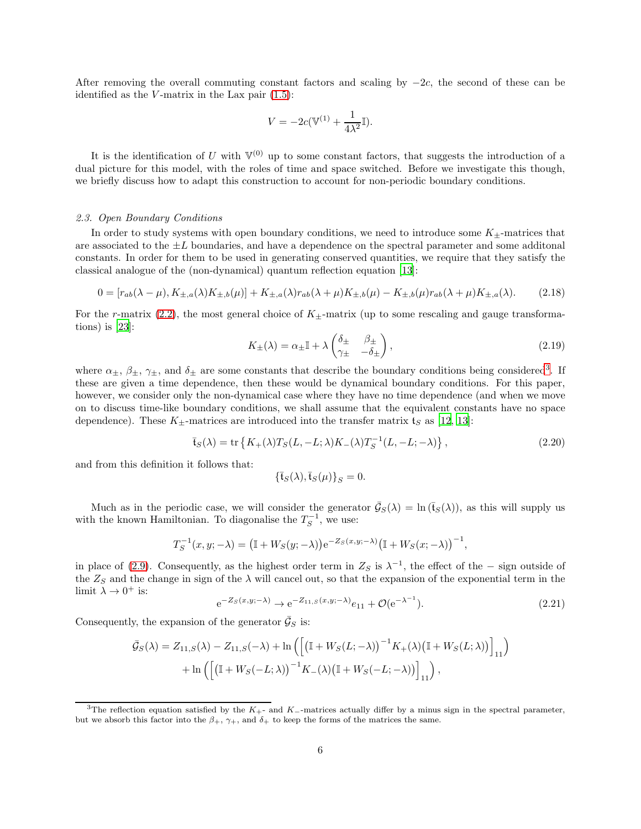After removing the overall commuting constant factors and scaling by  $-2c$ , the second of these can be identified as the  $V$ -matrix in the Lax pair  $(1.5)$ :

$$
V = -2c(\mathbb{V}^{(1)} + \frac{1}{4\lambda^2}\mathbb{I}).
$$

It is the identification of U with  $V^{(0)}$  up to some constant factors, that suggests the introduction of a dual picture for this model, with the roles of time and space switched. Before we investigate this though, we briefly discuss how to adapt this construction to account for non-periodic boundary conditions.

### <span id="page-5-0"></span>*2.3. Open Boundary Conditions*

In order to study systems with open boundary conditions, we need to introduce some  $K_{\pm}$ -matrices that are associated to the  $\pm L$  boundaries, and have a dependence on the spectral parameter and some additional constants. In order for them to be used in generating conserved quantities, we require that they satisfy the classical analogue of the (non-dynamical) quantum reflection equation [\[13\]](#page-16-11):

<span id="page-5-2"></span>
$$
0 = [r_{ab}(\lambda - \mu), K_{\pm, a}(\lambda)K_{\pm, b}(\mu)] + K_{\pm, a}(\lambda)r_{ab}(\lambda + \mu)K_{\pm, b}(\mu) - K_{\pm, b}(\mu)r_{ab}(\lambda + \mu)K_{\pm, a}(\lambda). \tag{2.18}
$$

For the r-matrix  $(2.2)$ , the most general choice of  $K_{+}$ -matrix (up to some rescaling and gauge transformations) is [\[23\]](#page-17-5):

<span id="page-5-3"></span>
$$
K_{\pm}(\lambda) = \alpha_{\pm}\mathbb{I} + \lambda \begin{pmatrix} \delta_{\pm} & \beta_{\pm} \\ \gamma_{\pm} & -\delta_{\pm} \end{pmatrix},\tag{2.19}
$$

where  $\alpha_{\pm}$ ,  $\beta_{\pm}$ ,  $\gamma_{\pm}$ , and  $\delta_{\pm}$  are some constants that describe the boundary conditions being considered<sup>[3](#page-5-1)</sup>. If these are given a time dependence, then these would be dynamical boundary conditions. For this paper, however, we consider only the non-dynamical case where they have no time dependence (and when we move on to discuss time-like boundary conditions, we shall assume that the equivalent constants have no space dependence). These  $K_{\pm}$ -matrices are introduced into the transfer matrix  $\mathfrak{t}_S$  as [\[12,](#page-16-10) [13\]](#page-16-11):

<span id="page-5-4"></span>
$$
\bar{\mathfrak{t}}_S(\lambda) = \text{tr}\left\{K_+(\lambda)T_S(L, -L; \lambda)K_-(\lambda)T_S^{-1}(L, -L; -\lambda)\right\},\tag{2.20}
$$

and from this definition it follows that:

$$
\{\bar{\mathfrak{t}}_S(\lambda),\bar{\mathfrak{t}}_S(\mu)\}_S=0.
$$

Much as in the periodic case, we will consider the generator  $\bar{\mathcal{G}}_S(\lambda) = \ln(\bar{t}_S(\lambda))$ , as this will supply us with the known Hamiltonian. To diagonalise the  $T_S^{-1}$ , we use:

$$
T_S^{-1}(x, y; -\lambda) = \left(\mathbb{I} + W_S(y; -\lambda)\right) e^{-Z_S(x, y; -\lambda)} \left(\mathbb{I} + W_S(x; -\lambda)\right)^{-1},
$$

in place of [\(2.9\)](#page-3-0). Consequently, as the highest order term in  $Z_S$  is  $\lambda^{-1}$ , the effect of the – sign outside of the  $Z_S$  and the change in sign of the  $\lambda$  will cancel out, so that the expansion of the exponential term in the limit  $\lambda \to 0^+$  is:

$$
e^{-Z_S(x,y;-\lambda)} \to e^{-Z_{11,S}(x,y;-\lambda)} e_{11} + \mathcal{O}(e^{-\lambda^{-1}}).
$$
\n(2.21)

Consequently, the expansion of the generator  $\bar{\mathcal{G}}_S$  is:

$$
\bar{\mathcal{G}}_S(\lambda) = Z_{11,S}(\lambda) - Z_{11,S}(-\lambda) + \ln\left(\left[\left(\mathbb{I} + W_S(L; -\lambda)\right)^{-1} K_+(\lambda) \left(\mathbb{I} + W_S(L; \lambda)\right)\right]_{11}\right) + \ln\left(\left[\left(\mathbb{I} + W_S(-L; \lambda)\right)^{-1} K_-(\lambda) \left(\mathbb{I} + W_S(-L; -\lambda)\right)\right]_{11}\right),
$$

<span id="page-5-1"></span><sup>&</sup>lt;sup>3</sup>The reflection equation satisfied by the K<sub>+</sub>- and K<sub>−</sub>-matrices actually differ by a minus sign in the spectral parameter, but we absorb this factor into the  $\beta_+$ ,  $\gamma_+$ , and  $\delta_+$  to keep the forms of the matrices the same.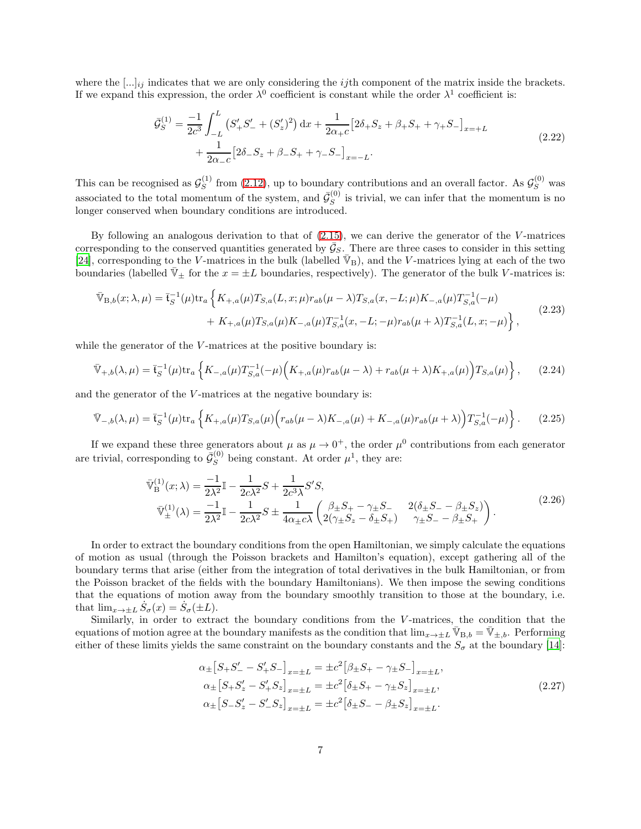where the  $[\ldots]_{ij}$  indicates that we are only considering the *ij*th component of the matrix inside the brackets. If we expand this expression, the order  $\lambda^0$  coefficient is constant while the order  $\lambda^1$  coefficient is:

$$
\bar{\mathcal{G}}_S^{(1)} = \frac{-1}{2c^3} \int_{-L}^{L} \left( S_+^{\prime} S_-^{\prime} + (S_z^{\prime})^2 \right) dx + \frac{1}{2\alpha_+ c} \left[ 2\delta_+ S_z + \beta_+ S_+ + \gamma_+ S_- \right]_{x=+L} + \frac{1}{2\alpha_- c} \left[ 2\delta_- S_z + \beta_- S_+ + \gamma_- S_- \right]_{x=-L} . \tag{2.22}
$$

This can be recognised as  $\mathcal{G}_{S}^{(1)}$  from [\(2.12\)](#page-4-0), up to boundary contributions and an overall factor. As  $\mathcal{G}_{S}^{(0)}$  was associated to the total momentum of the system, and  $\bar{\mathcal{G}}_S^{(0)}$  is trivial, we can infer that the momentum is no longer conserved when boundary conditions are introduced.

By following an analogous derivation to that of  $(2.15)$ , we can derive the generator of the V-matrices corresponding to the conserved quantities generated by  $\bar{G}_S$ . There are three cases to consider in this setting [\[24\]](#page-17-6), corresponding to the V-matrices in the bulk (labelled  $\overline{\mathbb{V}}_B$ ), and the V-matrices lying at each of the two boundaries (labelled  $\mathbb{V}_\pm$  for the  $x = \pm L$  boundaries, respectively). The generator of the bulk V-matrices is:

$$
\begin{split} \bar{\mathbb{V}}_{\text{B},b}(x;\lambda,\mu) &= \bar{\mathfrak{t}}_S^{-1}(\mu) \text{tr}_a \left\{ K_{+,a}(\mu) T_{S,a}(L,x;\mu) r_{ab}(\mu-\lambda) T_{S,a}(x,-L;\mu) K_{-,a}(\mu) T_{S,a}^{-1}(-\mu) \right. \\ &\quad \left. + K_{+,a}(\mu) T_{S,a}(\mu) K_{-,a}(\mu) T_{S,a}^{-1}(x,-L;-\mu) r_{ab}(\mu+\lambda) T_{S,a}^{-1}(L,x;-\mu) \right\}, \end{split} \tag{2.23}
$$

while the generator of the  $V$ -matrices at the positive boundary is:

$$
\bar{\mathbb{V}}_{+,b}(\lambda,\mu) = \bar{\mathfrak{t}}_S^{-1}(\mu) \text{tr}_a \left\{ K_{-,a}(\mu) T_{S,a}^{-1}(-\mu) \Big( K_{+,a}(\mu) r_{ab}(\mu - \lambda) + r_{ab}(\mu + \lambda) K_{+,a}(\mu) \Big) T_{S,a}(\mu) \right\},\tag{2.24}
$$

and the generator of the V-matrices at the negative boundary is:

$$
\bar{\mathbb{V}}_{-,b}(\lambda,\mu) = \bar{\mathfrak{t}}_S^{-1}(\mu) \text{tr}_a \left\{ K_{+,a}(\mu) T_{S,a}(\mu) \Big( r_{ab}(\mu - \lambda) K_{-,a}(\mu) + K_{-,a}(\mu) r_{ab}(\mu + \lambda) \Big) T_{S,a}^{-1}(-\mu) \right\}.
$$
 (2.25)

If we expand these three generators about  $\mu$  as  $\mu \to 0^+$ , the order  $\mu^0$  contributions from each generator are trivial, corresponding to  $\bar{G}_{S}^{(0)}$  being constant. At order  $\mu^{1}$ , they are:

$$
\begin{split} \n\bar{\mathbb{V}}_{\mathcal{B}}^{(1)}(x;\lambda) &= \frac{-1}{2\lambda^2} \mathbb{I} - \frac{1}{2c\lambda^2} S + \frac{1}{2c^3 \lambda} S' S, \\ \n\bar{\mathbb{V}}_{\pm}^{(1)}(\lambda) &= \frac{-1}{2\lambda^2} \mathbb{I} - \frac{1}{2c\lambda^2} S \pm \frac{1}{4\alpha_{\pm} c\lambda} \left( \frac{\beta_{\pm} S_{+} - \gamma_{\pm} S_{-}}{2(\gamma_{\pm} S_{z} - \delta_{\pm} S_{+})} - \frac{2(\delta_{\pm} S_{-} - \beta_{\pm} S_{z})}{\gamma_{\pm} S_{-} - \beta_{\pm} S_{+}} \right). \n\end{split} \tag{2.26}
$$

In order to extract the boundary conditions from the open Hamiltonian, we simply calculate the equations of motion as usual (through the Poisson brackets and Hamilton's equation), except gathering all of the boundary terms that arise (either from the integration of total derivatives in the bulk Hamiltonian, or from the Poisson bracket of the fields with the boundary Hamiltonians). We then impose the sewing conditions that the equations of motion away from the boundary smoothly transition to those at the boundary, i.e. that  $\lim_{x \to \pm L} \dot{S}_{\sigma}(x) = \dot{S}_{\sigma}(\pm L).$ 

Similarly, in order to extract the boundary conditions from the V-matrices, the condition that the equations of motion agree at the boundary manifests as the condition that  $\lim_{x\to\pm L} \mathbb{V}_{B,b} = \mathbb{V}_{\pm,b}$ . Performing either of these limits yields the same constraint on the boundary constants and the  $S_{\sigma}$  at the boundary [\[14\]](#page-16-12):

<span id="page-6-0"></span>
$$
\alpha_{\pm} [S_{+}S'_{-} - S'_{+}S_{-}]_{x=\pm L} = \pm c^{2} [\beta_{\pm}S_{+} - \gamma_{\pm}S_{-}]_{x=\pm L},
$$
  
\n
$$
\alpha_{\pm} [S_{+}S'_{z} - S'_{+}S_{z}]_{x=\pm L} = \pm c^{2} [\delta_{\pm}S_{+} - \gamma_{\pm}S_{z}]_{x=\pm L},
$$
  
\n
$$
\alpha_{\pm} [S_{-}S'_{z} - S'_{-}S_{z}]_{x=\pm L} = \pm c^{2} [\delta_{\pm}S_{-} - \beta_{\pm}S_{z}]_{x=\pm L}.
$$
\n(2.27)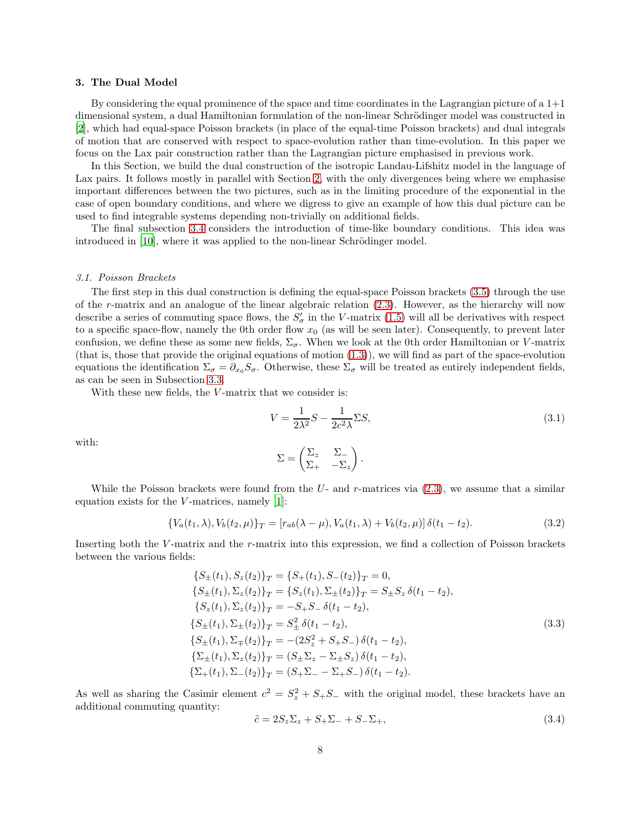#### <span id="page-7-0"></span>3. The Dual Model

By considering the equal prominence of the space and time coordinates in the Lagrangian picture of a 1+1 dimensional system, a dual Hamiltonian formulation of the non-linear Schrödinger model was constructed in [\[2\]](#page-16-1), which had equal-space Poisson brackets (in place of the equal-time Poisson brackets) and dual integrals of motion that are conserved with respect to space-evolution rather than time-evolution. In this paper we focus on the Lax pair construction rather than the Lagrangian picture emphasised in previous work.

In this Section, we build the dual construction of the isotropic Landau-Lifshitz model in the language of Lax pairs. It follows mostly in parallel with Section [2,](#page-1-0) with the only divergences being where we emphasise important differences between the two pictures, such as in the limiting procedure of the exponential in the case of open boundary conditions, and where we digress to give an example of how this dual picture can be used to find integrable systems depending non-trivially on additional fields.

The final subsection [3.4](#page-12-0) considers the introduction of time-like boundary conditions. This idea was introduced in [\[10](#page-16-9)], where it was applied to the non-linear Schrödinger model.

#### <span id="page-7-1"></span>*3.1. Poisson Brackets*

The first step in this dual construction is defining the equal-space Poisson brackets [\(3.5\)](#page-8-1) through the use of the r-matrix and an analogue of the linear algebraic relation [\(2.3\)](#page-2-3). However, as the hierarchy will now describe a series of commuting space flows, the  $S'_{\sigma}$  in the V-matrix [\(1.5\)](#page-1-4) will all be derivatives with respect to a specific space-flow, namely the 0th order flow  $x_0$  (as will be seen later). Consequently, to prevent later confusion, we define these as some new fields,  $\Sigma_{\sigma}$ . When we look at the 0th order Hamiltonian or V-matrix (that is, those that provide the original equations of motion  $(1.3)$ ), we will find as part of the space-evolution equations the identification  $\Sigma_{\sigma} = \partial_{x_0} S_{\sigma}$ . Otherwise, these  $\Sigma_{\sigma}$  will be treated as entirely independent fields, as can be seen in Subsection [3.3.](#page-10-0)

With these new fields, the V-matrix that we consider is:

<span id="page-7-4"></span>
$$
V = \frac{1}{2\lambda^2}S - \frac{1}{2c^2\lambda}\Sigma S,\tag{3.1}
$$

with:

$$
\Sigma = \begin{pmatrix} \Sigma_z & \Sigma_- \\ \Sigma_+ & -\Sigma_z \end{pmatrix}.
$$

While the Poisson brackets were found from the  $U$ - and r-matrices via  $(2.3)$ , we assume that a similar equation exists for the  $V$ -matrices, namely [\[1](#page-16-0)]:

<span id="page-7-3"></span>
$$
\{V_a(t_1,\lambda), V_b(t_2,\mu)\}_T = [r_{ab}(\lambda-\mu), V_a(t_1,\lambda) + V_b(t_2,\mu)]\,\delta(t_1 - t_2). \tag{3.2}
$$

Inserting both the V-matrix and the r-matrix into this expression, we find a collection of Poisson brackets between the various fields:

$$
\{S_{\pm}(t_1), S_z(t_2)\}_T = \{S_{+}(t_1), S_{-}(t_2)\}_T = 0,
$$
  
\n
$$
\{S_{\pm}(t_1), \Sigma_z(t_2)\}_T = \{S_z(t_1), \Sigma_{\pm}(t_2)\}_T = S_{\pm} S_z \delta(t_1 - t_2),
$$
  
\n
$$
\{S_z(t_1), \Sigma_z(t_2)\}_T = -S_{+} S_{-} \delta(t_1 - t_2),
$$
  
\n
$$
\{S_{\pm}(t_1), \Sigma_{\pm}(t_2)\}_T = S_{\pm}^2 \delta(t_1 - t_2),
$$
  
\n
$$
\{S_{\pm}(t_1), \Sigma_{\mp}(t_2)\}_T = -(2S_z^2 + S_{+} S_{-}) \delta(t_1 - t_2),
$$
  
\n
$$
\{\Sigma_{\pm}(t_1), \Sigma_z(t_2)\}_T = (S_{\pm} \Sigma_z - \Sigma_{\pm} S_z) \delta(t_1 - t_2),
$$
  
\n
$$
\{\Sigma_{+}(t_1), \Sigma_{-}(t_2)\}_T = (S_{+} \Sigma_{-} - \Sigma_{+} S_{-}) \delta(t_1 - t_2).
$$
  
\n(3.3)

As well as sharing the Casimir element  $c^2 = S_z^2 + S_z -$  with the original model, these brackets have an additional commuting quantity:

<span id="page-7-2"></span>
$$
\tilde{c} = 2S_z \Sigma_z + S_+ \Sigma_- + S_- \Sigma_+, \tag{3.4}
$$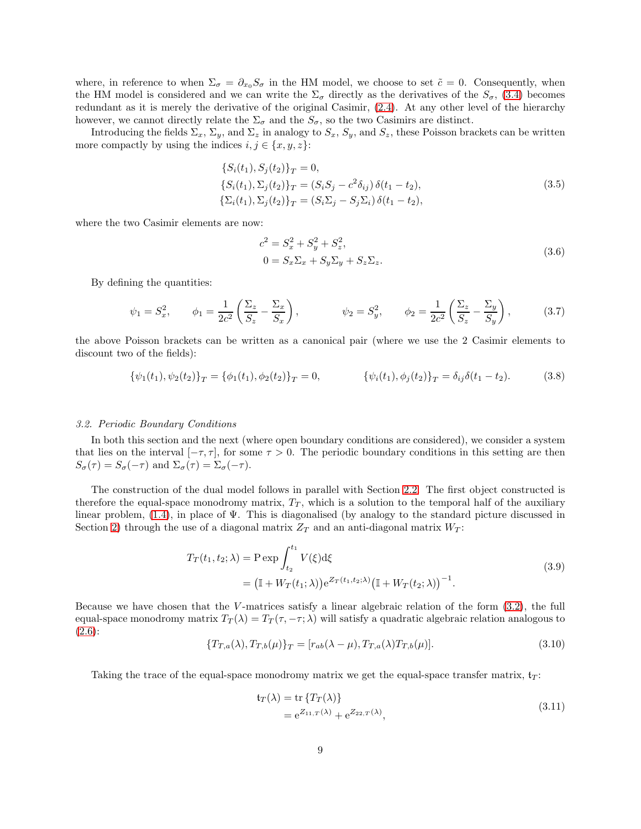where, in reference to when  $\Sigma_{\sigma} = \partial_{x_0} S_{\sigma}$  in the HM model, we choose to set  $\tilde{c} = 0$ . Consequently, when the HM model is considered and we can write the  $\Sigma_{\sigma}$  directly as the derivatives of the  $S_{\sigma}$ , [\(3.4\)](#page-7-2) becomes redundant as it is merely the derivative of the original Casimir, [\(2.4\)](#page-2-7). At any other level of the hierarchy however, we cannot directly relate the  $\Sigma_{\sigma}$  and the  $S_{\sigma}$ , so the two Casimirs are distinct.

Introducing the fields  $\Sigma_x$ ,  $\Sigma_y$ , and  $\Sigma_z$  in analogy to  $S_x$ ,  $S_y$ , and  $S_z$ , these Poisson brackets can be written more compactly by using the indices  $i, j \in \{x, y, z\}$ :

<span id="page-8-1"></span>
$$
\{S_i(t_1), S_j(t_2)\}_T = 0,
$$
  
\n
$$
\{S_i(t_1), \Sigma_j(t_2)\}_T = (S_i S_j - c^2 \delta_{ij}) \delta(t_1 - t_2),
$$
  
\n
$$
\{\Sigma_i(t_1), \Sigma_j(t_2)\}_T = (S_i \Sigma_j - S_j \Sigma_i) \delta(t_1 - t_2),
$$
\n(3.5)

where the two Casimir elements are now:

$$
c^{2} = S_{x}^{2} + S_{y}^{2} + S_{z}^{2},
$$
  
\n
$$
0 = S_{x} \Sigma_{x} + S_{y} \Sigma_{y} + S_{z} \Sigma_{z}.
$$
\n(3.6)

By defining the quantities:

$$
\psi_1 = S_x^2, \qquad \phi_1 = \frac{1}{2c^2} \left( \frac{\Sigma_z}{S_z} - \frac{\Sigma_x}{S_x} \right), \qquad \psi_2 = S_y^2, \qquad \phi_2 = \frac{1}{2c^2} \left( \frac{\Sigma_z}{S_z} - \frac{\Sigma_y}{S_y} \right), \qquad (3.7)
$$

the above Poisson brackets can be written as a canonical pair (where we use the 2 Casimir elements to discount two of the fields):

$$
\{\psi_1(t_1), \psi_2(t_2)\}_T = \{\phi_1(t_1), \phi_2(t_2)\}_T = 0, \qquad \{\psi_i(t_1), \phi_j(t_2)\}_T = \delta_{ij}\delta(t_1 - t_2). \tag{3.8}
$$

### <span id="page-8-0"></span>*3.2. Periodic Boundary Conditions*

In both this section and the next (where open boundary conditions are considered), we consider a system that lies on the interval  $[-\tau, \tau]$ , for some  $\tau > 0$ . The periodic boundary conditions in this setting are then  $S_{\sigma}(\tau) = S_{\sigma}(-\tau)$  and  $\Sigma_{\sigma}(\tau) = \Sigma_{\sigma}(-\tau)$ .

The construction of the dual model follows in parallel with Section [2.2.](#page-2-1) The first object constructed is therefore the equal-space monodromy matrix,  $T_T$ , which is a solution to the temporal half of the auxiliary linear problem, [\(1.4\)](#page-1-5), in place of Ψ. This is diagonalised (by analogy to the standard picture discussed in Section [2\)](#page-1-0) through the use of a diagonal matrix  $Z_T$  and an anti-diagonal matrix  $W_T$ :

<span id="page-8-4"></span>
$$
T_T(t_1, t_2; \lambda) = P \exp \int_{t_2}^{t_1} V(\xi) d\xi
$$
  
=  $(\mathbb{I} + W_T(t_1; \lambda)) e^{Z_T(t_1, t_2; \lambda)} (\mathbb{I} + W_T(t_2; \lambda))^{-1}.$  (3.9)

Because we have chosen that the V-matrices satisfy a linear algebraic relation of the form  $(3.2)$ , the full equal-space monodromy matrix  $T_T(\lambda) = T_T(\tau, -\tau; \lambda)$  will satisfy a quadratic algebraic relation analogous to [\(2.6\)](#page-2-6):

<span id="page-8-2"></span>
$$
\{T_{T,a}(\lambda), T_{T,b}(\mu)\}_T = [r_{ab}(\lambda - \mu), T_{T,a}(\lambda)T_{T,b}(\mu)].
$$
\n(3.10)

Taking the trace of the equal-space monodromy matrix we get the equal-space transfer matrix,  $t_T$ :

<span id="page-8-3"></span>
$$
\begin{aligned} \mathfrak{t}_{T}(\lambda) &= \text{tr}\left\{T_{T}(\lambda)\right\} \\ &= \mathbf{e}^{Z_{11,T}(\lambda)} + \mathbf{e}^{Z_{22,T}(\lambda)}, \end{aligned} \tag{3.11}
$$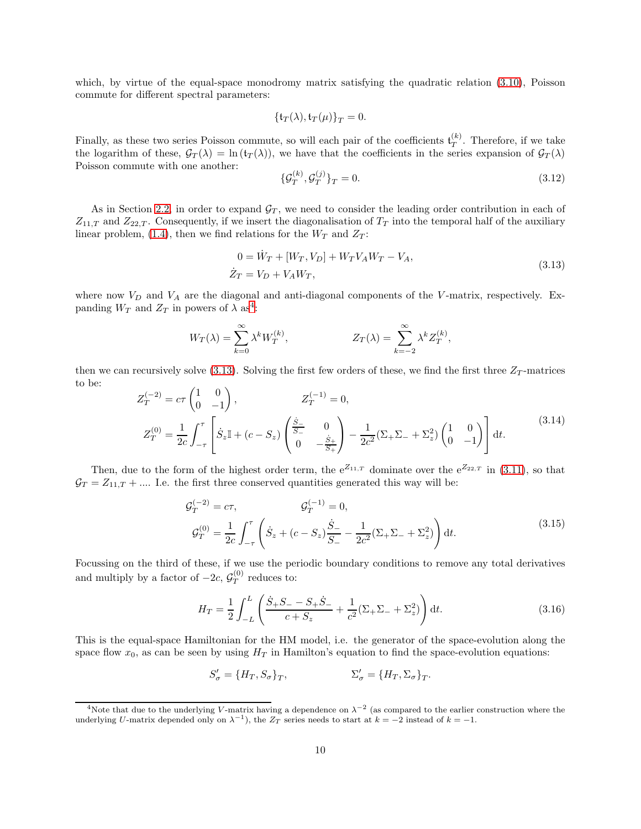which, by virtue of the equal-space monodromy matrix satisfying the quadratic relation [\(3.10\)](#page-8-2), Poisson commute for different spectral parameters:

$$
\{\mathfrak{t}_T(\lambda),\mathfrak{t}_T(\mu)\}_T=0.
$$

Finally, as these two series Poisson commute, so will each pair of the coefficients  $\mathfrak{t}_T^{(k)}$ . Therefore, if we take the logarithm of these,  $\mathcal{G}_T(\lambda) = \ln(t_T(\lambda))$ , we have that the coefficients in the series expansion of  $\mathcal{G}_T(\lambda)$ Poisson commute with one another:

$$
\{\mathcal{G}_T^{(k)}, \mathcal{G}_T^{(j)}\}_T = 0. \tag{3.12}
$$

As in Section [2.2,](#page-2-1) in order to expand  $\mathcal{G}_T$ , we need to consider the leading order contribution in each of  $Z_{11,T}$  and  $Z_{22,T}$ . Consequently, if we insert the diagonalisation of  $T_T$  into the temporal half of the auxiliary linear problem, [\(1.4\)](#page-1-5), then we find relations for the  $W_T$  and  $Z_T$ :

<span id="page-9-1"></span>
$$
0 = \dot{W}_T + [W_T, V_D] + W_T V_A W_T - V_A,
$$
  
\n
$$
\dot{Z}_T = V_D + V_A W_T,
$$
\n(3.13)

where now  $V_D$  and  $V_A$  are the diagonal and anti-diagonal components of the V-matrix, respectively. Expanding  $W_T$  and  $Z_T$  in powers of  $\lambda$  as<sup>[4](#page-9-0)</sup>:

$$
W_T(\lambda) = \sum_{k=0}^{\infty} \lambda^k W_T^{(k)}, \qquad Z_T(\lambda) = \sum_{k=-2}^{\infty} \lambda^k Z_T^{(k)},
$$

then we can recursively solve [\(3.13\)](#page-9-1). Solving the first few orders of these, we find the first three  $Z_T$ -matrices to be:

$$
Z_T^{(-2)} = c\tau \begin{pmatrix} 1 & 0 \\ 0 & -1 \end{pmatrix}, \qquad Z_T^{(-1)} = 0,
$$
  
\n
$$
Z_T^{(0)} = \frac{1}{2c} \int_{-\tau}^{\tau} \left[ \dot{S}_z \mathbb{I} + (c - S_z) \begin{pmatrix} \frac{\dot{S}_-}{S_-} & 0 \\ 0 & -\frac{\dot{S}_+}{S_+} \end{pmatrix} - \frac{1}{2c^2} (\Sigma_+ \Sigma_- + \Sigma_z^2) \begin{pmatrix} 1 & 0 \\ 0 & -1 \end{pmatrix} \right] dt.
$$
 (3.14)

Then, due to the form of the highest order term, the  $e^{Z_{11,T}}$  dominate over the  $e^{Z_{22,T}}$  in [\(3.11\)](#page-8-3), so that  $\mathcal{G}_T = Z_{11,T} + \dots$  I.e. the first three conserved quantities generated this way will be:

<span id="page-9-2"></span>
$$
\mathcal{G}_{T}^{(-2)} = c\tau, \qquad \mathcal{G}_{T}^{(-1)} = 0,
$$
\n
$$
\mathcal{G}_{T}^{(0)} = \frac{1}{2c} \int_{-\tau}^{\tau} \left( \dot{S}_z + (c - S_z) \frac{\dot{S}_-}{S_-} - \frac{1}{2c^2} (\Sigma_+ \Sigma_- + \Sigma_z^2) \right) dt.
$$
\n(3.15)

Focussing on the third of these, if we use the periodic boundary conditions to remove any total derivatives and multiply by a factor of  $-2c, \mathcal{G}_T^{(0)}$  reduces to:

$$
H_T = \frac{1}{2} \int_{-L}^{L} \left( \frac{\dot{S}_+ S_- - S_+ \dot{S}_-}{c + S_z} + \frac{1}{c^2} (\Sigma_+ \Sigma_- + \Sigma_z^2) \right) dt.
$$
 (3.16)

This is the equal-space Hamiltonian for the HM model, i.e. the generator of the space-evolution along the space flow  $x_0$ , as can be seen by using  $H_T$  in Hamilton's equation to find the space-evolution equations:

$$
S'_{\sigma} = \{H_T, S_{\sigma}\}_T, \qquad \qquad \Sigma'_{\sigma} = \{H_T, \Sigma_{\sigma}\}_T.
$$

<span id="page-9-0"></span><sup>&</sup>lt;sup>4</sup>Note that due to the underlying V-matrix having a dependence on  $\lambda^{-2}$  (as compared to the earlier construction where the underlying U-matrix depended only on  $\lambda^{-1}$ ), the  $Z_T$  series needs to start at  $k = -2$  instead of  $k = -1$ .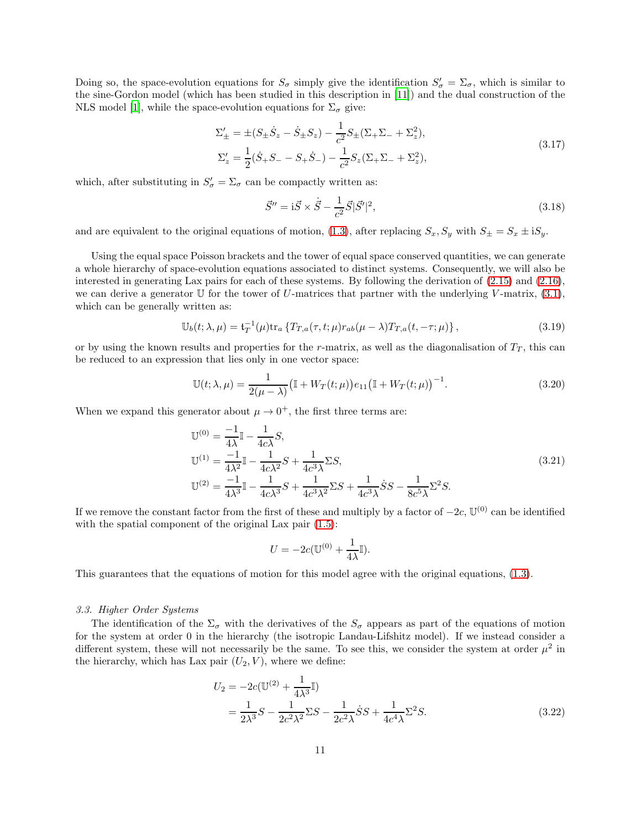Doing so, the space-evolution equations for  $S_{\sigma}$  simply give the identification  $S'_{\sigma} = \Sigma_{\sigma}$ , which is similar to the sine-Gordon model (which has been studied in this description in [\[11\]](#page-16-16)) and the dual construction of the NLS model [\[1\]](#page-16-0), while the space-evolution equations for  $\Sigma_{\sigma}$  give:

<span id="page-10-3"></span>
$$
\Sigma'_{\pm} = \pm (S_{\pm} \dot{S}_z - \dot{S}_{\pm} S_z) - \frac{1}{c^2} S_{\pm} (\Sigma_+ \Sigma_- + \Sigma_z^2),
$$
  
\n
$$
\Sigma'_z = \frac{1}{2} (\dot{S}_+ S_- - S_+ \dot{S}_-) - \frac{1}{c^2} S_z (\Sigma_+ \Sigma_- + \Sigma_z^2),
$$
\n(3.17)

which, after substituting in  $S'_{\sigma} = \Sigma_{\sigma}$  can be compactly written as:

<span id="page-10-4"></span>
$$
\vec{S}'' = i\vec{S} \times \dot{\vec{S}} - \frac{1}{c^2} \vec{S} |\vec{S}'|^2,
$$
\n(3.18)

and are equivalent to the original equations of motion, [\(1.3\)](#page-1-3), after replacing  $S_x, S_y$  with  $S_{\pm} = S_x \pm iS_y$ .

Using the equal space Poisson brackets and the tower of equal space conserved quantities, we can generate a whole hierarchy of space-evolution equations associated to distinct systems. Consequently, we will also be interested in generating Lax pairs for each of these systems. By following the derivation of [\(2.15\)](#page-4-1) and [\(2.16\)](#page-4-2), we can derive a generator U for the tower of U-matrices that partner with the underlying V-matrix,  $(3.1)$ , which can be generally written as:

$$
\mathbb{U}_b(t;\lambda,\mu) = \mathfrak{t}_T^{-1}(\mu) \text{tr}_a \left\{ T_{T,a}(\tau,t;\mu) r_{ab}(\mu-\lambda) T_{T,a}(t,-\tau;\mu) \right\},\tag{3.19}
$$

or by using the known results and properties for the r-matrix, as well as the diagonalisation of  $T<sub>T</sub>$ , this can be reduced to an expression that lies only in one vector space:

$$
\mathbb{U}(t; \lambda, \mu) = \frac{1}{2(\mu - \lambda)} (\mathbb{I} + W_T(t; \mu)) e_{11} (\mathbb{I} + W_T(t; \mu))^{-1}.
$$
 (3.20)

When we expand this generator about  $\mu \to 0^+$ , the first three terms are:

<span id="page-10-1"></span>
$$
\mathbb{U}^{(0)} = \frac{-1}{4\lambda} \mathbb{I} - \frac{1}{4c\lambda} S,
$$
  
\n
$$
\mathbb{U}^{(1)} = \frac{-1}{4\lambda^2} \mathbb{I} - \frac{1}{4c\lambda^2} S + \frac{1}{4c^3\lambda} \Sigma S,
$$
  
\n
$$
\mathbb{U}^{(2)} = \frac{-1}{4\lambda^3} \mathbb{I} - \frac{1}{4c\lambda^3} S + \frac{1}{4c^3\lambda^2} \Sigma S + \frac{1}{4c^3\lambda} \dot{S} S - \frac{1}{8c^5\lambda} \Sigma^2 S.
$$
\n(3.21)

If we remove the constant factor from the first of these and multiply by a factor of  $-2c$ ,  $\mathbb{U}^{(0)}$  can be identified with the spatial component of the original Lax pair  $(1.5)$ :

<span id="page-10-2"></span>
$$
U = -2c(\mathbb{U}^{(0)} + \frac{1}{4\lambda}\mathbb{I}).
$$

This guarantees that the equations of motion for this model agree with the original equations, [\(1.3\)](#page-1-3).

#### <span id="page-10-0"></span>*3.3. Higher Order Systems*

The identification of the  $\Sigma_{\sigma}$  with the derivatives of the  $S_{\sigma}$  appears as part of the equations of motion for the system at order 0 in the hierarchy (the isotropic Landau-Lifshitz model). If we instead consider a different system, these will not necessarily be the same. To see this, we consider the system at order  $\mu^2$  in the hierarchy, which has Lax pair  $(U_2, V)$ , where we define:

$$
U_2 = -2c(\mathbb{U}^{(2)} + \frac{1}{4\lambda^3}\mathbb{I})
$$
  
=  $\frac{1}{2\lambda^3}S - \frac{1}{2c^2\lambda^2}\Sigma S - \frac{1}{2c^2\lambda}SS + \frac{1}{4c^4\lambda}\Sigma^2 S.$  (3.22)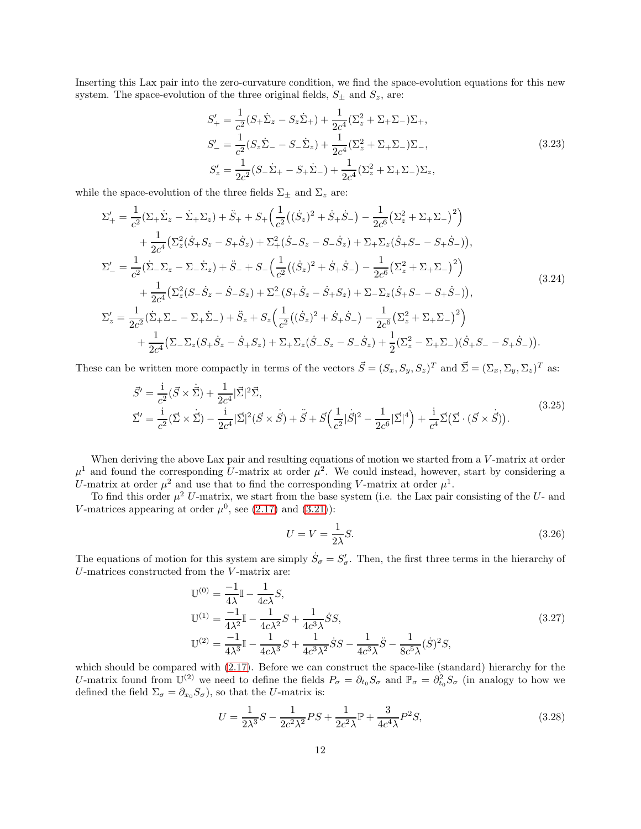Inserting this Lax pair into the zero-curvature condition, we find the space-evolution equations for this new system. The space-evolution of the three original fields,  $S_{\pm}$  and  $S_{z}$ , are:

$$
S'_{+} = \frac{1}{c^{2}}(S_{+}\dot{\Sigma}_{z} - S_{z}\dot{\Sigma}_{+}) + \frac{1}{2c^{4}}(\Sigma_{z}^{2} + \Sigma_{+}\Sigma_{-})\Sigma_{+},
$$
  
\n
$$
S'_{-} = \frac{1}{c^{2}}(S_{z}\dot{\Sigma}_{-} - S_{-}\dot{\Sigma}_{z}) + \frac{1}{2c^{4}}(\Sigma_{z}^{2} + \Sigma_{+}\Sigma_{-})\Sigma_{-},
$$
  
\n
$$
S'_{z} = \frac{1}{2c^{2}}(S_{-}\dot{\Sigma}_{+} - S_{+}\dot{\Sigma}_{-}) + \frac{1}{2c^{4}}(\Sigma_{z}^{2} + \Sigma_{+}\Sigma_{-})\Sigma_{z},
$$
\n(3.23)

while the space-evolution of the three fields  $\Sigma_{\pm}$  and  $\Sigma_{z}$  are:

$$
\Sigma'_{+} = \frac{1}{c^{2}}(\Sigma_{+}\dot{\Sigma}_{z} - \dot{\Sigma}_{+}\Sigma_{z}) + \ddot{S}_{+} + S_{+}\left(\frac{1}{c^{2}}((\dot{S}_{z})^{2} + \dot{S}_{+}\dot{S}_{-}) - \frac{1}{2c^{6}}(\Sigma_{z}^{2} + \Sigma_{+}\Sigma_{-})^{2}\right) \n+ \frac{1}{2c^{4}}(\Sigma_{z}^{2}(\dot{S}_{+}S_{z} - S_{+}\dot{S}_{z}) + \Sigma_{+}^{2}(\dot{S}_{-}S_{z} - S_{-}\dot{S}_{z}) + \Sigma_{+}\Sigma_{z}(\dot{S}_{+}S_{-} - S_{+}\dot{S}_{-})), \n\Sigma'_{-} = \frac{1}{c^{2}}(\dot{\Sigma}_{-}\Sigma_{z} - \Sigma_{-}\dot{\Sigma}_{z}) + \ddot{S}_{-} + S_{-}\left(\frac{1}{c^{2}}((\dot{S}_{z})^{2} + \dot{S}_{+}\dot{S}_{-}) - \frac{1}{2c^{6}}(\Sigma_{z}^{2} + \Sigma_{+}\Sigma_{-})^{2}\right) \n+ \frac{1}{2c^{4}}(\Sigma_{z}^{2}(S_{-}\dot{S}_{z} - \dot{S}_{-}S_{z}) + \Sigma_{-}^{2}(S_{+}\dot{S}_{z} - \dot{S}_{+}S_{z}) + \Sigma_{-}\Sigma_{z}(\dot{S}_{+}S_{-} - S_{+}\dot{S}_{-})), \n\Sigma'_{z} = \frac{1}{2c^{2}}(\dot{\Sigma}_{+}\Sigma_{-} - \Sigma_{+}\dot{\Sigma}_{-}) + \ddot{S}_{z} + S_{z}\left(\frac{1}{c^{2}}((\dot{S}_{z})^{2} + \dot{S}_{+}\dot{S}_{-}) - \frac{1}{2c^{6}}(\Sigma_{z}^{2} + \Sigma_{+}\Sigma_{-})^{2}\right) \n+ \frac{1}{2c^{4}}(\Sigma_{-}\Sigma_{z}(S_{+}\dot{S}_{z} - \dot{S}_{+}S_{z}) + \Sigma_{+}\Sigma_{z}(\dot{S}_{-}S_{z} - S_{-}\dot{S}_{z}) + \frac{1}{2}(\Sigma_{z}^{2} - \Sigma_{+}\Sigma_{-})(\dot{S}_{+}S_{-} - S_{+}\dot{S}_{-})).
$$
\n(3.24)

These can be written more compactly in terms of the vectors  $\vec{S} = (S_x, S_y, S_z)^T$  and  $\vec{\Sigma} = (\Sigma_x, \Sigma_y, \Sigma_z)^T$  as:

<span id="page-11-0"></span>
$$
\vec{S}' = \frac{\mathrm{i}}{c^2} (\vec{S} \times \dot{\vec{\Sigma}}) + \frac{1}{2c^4} |\vec{\Sigma}|^2 \vec{\Sigma},
$$
\n
$$
\vec{\Sigma}' = \frac{\mathrm{i}}{c^2} (\vec{\Sigma} \times \dot{\vec{\Sigma}}) - \frac{\mathrm{i}}{2c^4} |\vec{\Sigma}|^2 (\vec{S} \times \dot{\vec{S}}) + \ddot{\vec{S}} + \vec{S} \Big(\frac{1}{c^2} |\dot{\vec{S}}|^2 - \frac{1}{2c^6} |\vec{\Sigma}|^4 \Big) + \frac{\mathrm{i}}{c^4} \vec{\Sigma} (\vec{\Sigma} \cdot (\vec{S} \times \dot{\vec{S}})).
$$
\n(3.25)

When deriving the above Lax pair and resulting equations of motion we started from a V-matrix at order  $\mu^1$  and found the corresponding U-matrix at order  $\mu^2$ . We could instead, however, start by considering a U-matrix at order  $\mu^2$  and use that to find the corresponding V-matrix at order  $\mu^1$ .

To find this order  $\mu^2$  U-matrix, we start from the base system (i.e. the Lax pair consisting of the U- and V-matrices appearing at order  $\mu^0$ , see [\(2.17\)](#page-4-3) and [\(3.21\)](#page-10-1)):

$$
U = V = \frac{1}{2\lambda}S.
$$
\n(3.26)

The equations of motion for this system are simply  $\dot{S}_\sigma = S'_\sigma$ . Then, the first three terms in the hierarchy of U-matrices constructed from the V -matrix are:

$$
\mathbb{U}^{(0)} = \frac{-1}{4\lambda} \mathbb{I} - \frac{1}{4c\lambda} S,
$$
  
\n
$$
\mathbb{U}^{(1)} = \frac{-1}{4\lambda^2} \mathbb{I} - \frac{1}{4c\lambda^2} S + \frac{1}{4c^3\lambda} \dot{S} S,
$$
  
\n
$$
\mathbb{U}^{(2)} = \frac{-1}{4\lambda^3} \mathbb{I} - \frac{1}{4c\lambda^3} S + \frac{1}{4c^3\lambda^2} \dot{S} S - \frac{1}{4c^3\lambda} \ddot{S} - \frac{1}{8c^5\lambda} (\dot{S})^2 S,
$$
\n(3.27)

which should be compared with  $(2.17)$ . Before we can construct the space-like (standard) hierarchy for the U-matrix found from  $\mathbb{U}^{(2)}$  we need to define the fields  $P_{\sigma} = \partial_{t_0} S_{\sigma}$  and  $\mathbb{P}_{\sigma} = \partial_{t_0}^2 S_{\sigma}$  (in analogy to how we defined the field  $\Sigma_{\sigma} = \partial_{x_0} S_{\sigma}$ , so that the U-matrix is:

$$
U = \frac{1}{2\lambda^3}S - \frac{1}{2c^2\lambda^2}PS + \frac{1}{2c^2\lambda}\mathbb{P} + \frac{3}{4c^4\lambda}P^2S,
$$
\n(3.28)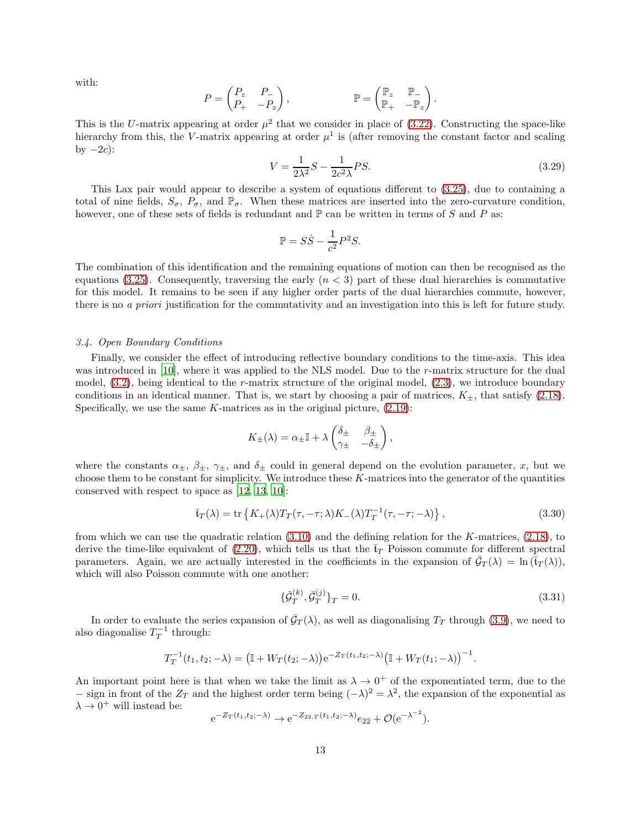with:

$$
P = \begin{pmatrix} P_z & P_- \\ P_+ & -P_z \end{pmatrix}, \qquad \mathbb{P} = \begin{pmatrix} \mathbb{P}_z & \mathbb{P}_- \\ \mathbb{P}_+ & -\mathbb{P}_z \end{pmatrix}.
$$

This is the U-matrix appearing at order  $\mu^2$  that we consider in place of [\(3.22\)](#page-10-2). Constructing the space-like hierarchy from this, the V-matrix appearing at order  $\mu^1$  is (after removing the constant factor and scaling by  $-2c$ :

$$
V = \frac{1}{2\lambda^2}S - \frac{1}{2c^2\lambda}PS.
$$
\n(3.29)

This Lax pair would appear to describe a system of equations different to [\(3.25\)](#page-11-0), due to containing a total of nine fields,  $S_{\sigma}$ ,  $P_{\sigma}$ , and  $\mathbb{P}_{\sigma}$ . When these matrices are inserted into the zero-curvature condition, however, one of these sets of fields is redundant and  $\mathbb P$  can be written in terms of S and P as:

$$
\mathbb{P} = S\dot{S} - \frac{1}{c^2}P^2S.
$$

The combination of this identification and the remaining equations of motion can then be recognised as the equations [\(3.25\)](#page-11-0). Consequently, traversing the early  $(n < 3)$  part of these dual hierarchies is commutative for this model. It remains to be seen if any higher order parts of the dual hierarchies commute, however, there is no *a priori* justification for the commutativity and an investigation into this is left for future study.

#### <span id="page-12-0"></span>*3.4. Open Boundary Conditions*

Finally, we consider the effect of introducing reflective boundary conditions to the time-axis. This idea was introduced in [\[10\]](#page-16-9), where it was applied to the NLS model. Due to the r-matrix structure for the dual model,  $(3.2)$ , being identical to the r-matrix structure of the original model,  $(2.3)$ , we introduce boundary conditions in an identical manner. That is, we start by choosing a pair of matrices,  $K_{\pm}$ , that satisfy [\(2.18\)](#page-5-2). Specifically, we use the same  $K$ -matrices as in the original picture,  $(2.19)$ :

$$
K_{\pm}(\lambda) = \alpha_{\pm}\mathbb{I} + \lambda \begin{pmatrix} \delta_{\pm} & \beta_{\pm} \\ \gamma_{\pm} & -\delta_{\pm} \end{pmatrix},
$$

where the constants  $\alpha_{\pm}$ ,  $\beta_{\pm}$ ,  $\gamma_{\pm}$ , and  $\delta_{\pm}$  could in general depend on the evolution parameter, x, but we choose them to be constant for simplicity. We introduce these K-matrices into the generator of the quantities conserved with respect to space as [\[12](#page-16-10), [13](#page-16-11), [10](#page-16-9)]:

$$
\bar{\mathbf{t}}_T(\lambda) = \text{tr}\left\{ K_+(\lambda)T_T(\tau, -\tau; \lambda)K_-(\lambda)T_T^{-1}(\tau, -\tau; -\lambda) \right\},\tag{3.30}
$$

from which we can use the quadratic relation [\(3.10\)](#page-8-2) and the defining relation for the K-matrices, [\(2.18\)](#page-5-2), to derive the time-like equivalent of  $(2.20)$ , which tells us that the  $t_T$  Poisson commute for different spectral parameters. Again, we are actually interested in the coefficients in the expansion of  $\bar{\mathcal{G}}_T(\lambda) = \ln(\bar{t}_T(\lambda)),$ which will also Poisson commute with one another:

$$
\{\bar{\mathcal{G}}_T^{(k)}, \bar{\mathcal{G}}_T^{(j)}\}_T = 0. \tag{3.31}
$$

In order to evaluate the series expansion of  $\bar{\mathcal{G}}_T(\lambda)$ , as well as diagonalising  $T_T$  through [\(3.9\)](#page-8-4), we need to also diagonalise  $T_T^{-1}$  through:

$$
T_T^{-1}(t_1, t_2; -\lambda) = (\mathbb{I} + W_T(t_2; -\lambda))e^{-Z_T(t_1, t_2; -\lambda)}(\mathbb{I} + W_T(t_1; -\lambda))^{-1}.
$$

An important point here is that when we take the limit as  $\lambda \to 0^+$  of the exponentiated term, due to the − sign in front of the  $Z_T$  and the highest order term being  $(-\lambda)^2 = \lambda^2$ , the expansion of the exponential as  $\lambda \to 0^+$  will instead be: −2

$$
e^{-Z_T(t_1,t_2;-\lambda)} \to e^{-Z_{22,T}(t_1,t_2;-\lambda)} e_{22} + \mathcal{O}(e^{-\lambda^{-2}}).
$$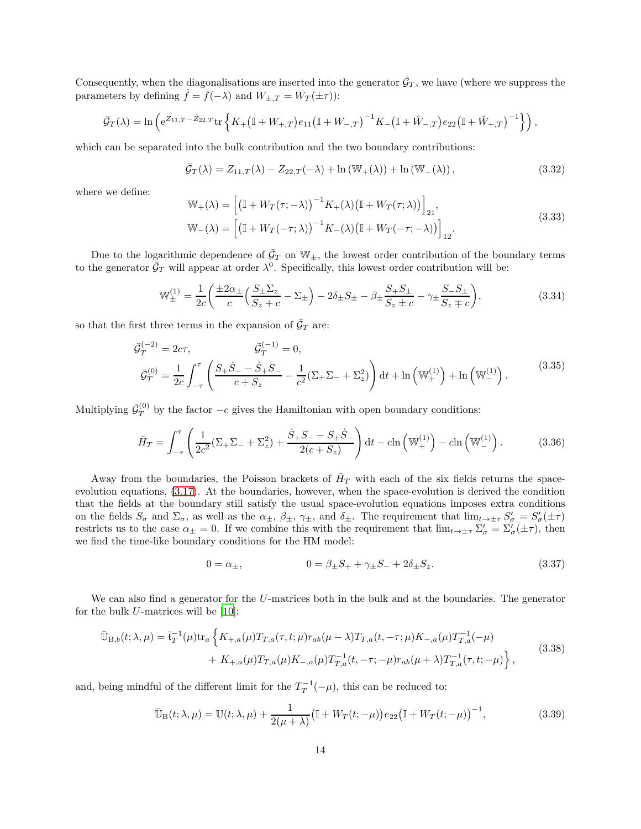Consequently, when the diagonalisations are inserted into the generator  $\bar{G}_T$ , we have (where we suppress the parameters by defining  $\hat{f} = f(-\lambda)$  and  $W_{\pm, T} = W_T(\pm \tau)$ :

$$
\bar{\mathcal{G}}_T(\lambda) = \ln \left( e^{Z_{11,T} - \hat{Z}_{22,T}} \text{tr} \left\{ K_+ \left( \mathbb{I} + W_{+,T} \right) e_{11} \left( \mathbb{I} + W_{-,T} \right)^{-1} K_- \left( \mathbb{I} + \hat{W}_{-,T} \right) e_{22} \left( \mathbb{I} + \hat{W}_{+,T} \right)^{-1} \right\} \right),
$$

which can be separated into the bulk contribution and the two boundary contributions:

$$
\bar{\mathcal{G}}_T(\lambda) = Z_{11,T}(\lambda) - Z_{22,T}(-\lambda) + \ln(\mathbb{W}_+(\lambda)) + \ln(\mathbb{W}_-(\lambda)), \qquad (3.32)
$$

where we define:

$$
\mathbb{W}_{+}(\lambda) = \left[ \left( \mathbb{I} + W_{T}(\tau; -\lambda) \right)^{-1} K_{+}(\lambda) \left( \mathbb{I} + W_{T}(\tau; \lambda) \right) \right]_{21},
$$
\n
$$
\mathbb{W}_{-}(\lambda) = \left[ \left( \mathbb{I} + W_{T}(-\tau; \lambda) \right)^{-1} K_{-}(\lambda) \left( \mathbb{I} + W_{T}(-\tau; -\lambda) \right) \right]_{12}.
$$
\n(3.33)

Due to the logarithmic dependence of  $\bar{G}_T$  on  $\mathbb{W}_\pm$ , the lowest order contribution of the boundary terms to the generator  $\bar{\mathcal{G}}_T$  will appear at order  $\lambda^0$ . Specifically, this lowest order contribution will be:

$$
\mathbb{W}_{\pm}^{(1)} = \frac{1}{2c} \left( \frac{\pm 2\alpha_{\pm}}{c} \left( \frac{S_{\pm} \Sigma_{z}}{S_{z} + c} - \Sigma_{\pm} \right) - 2\delta_{\pm} S_{\pm} - \beta_{\pm} \frac{S_{+} S_{\pm}}{S_{z} \pm c} - \gamma_{\pm} \frac{S_{-} S_{\pm}}{S_{z} \mp c} \right),\tag{3.34}
$$

so that the first three terms in the expansion of  $\bar{G}_T$  are:

$$
\bar{\mathcal{G}}_T^{(-2)} = 2c\tau, \qquad \bar{\mathcal{G}}_T^{(-1)} = 0,
$$
\n
$$
\bar{\mathcal{G}}_T^{(0)} = \frac{1}{2c} \int_{-\tau}^{\tau} \left( \frac{S_+ \dot{S}_- - \dot{S}_+ S_-}{c + S_z} - \frac{1}{c^2} (\Sigma_+ \Sigma_- + \Sigma_z^2) \right) dt + \ln \left( \mathbb{W}_+^{(1)} \right) + \ln \left( \mathbb{W}_-^{(1)} \right). \tag{3.35}
$$

Multiplying  $\bar{\mathcal{G}}_T^{(0)}$  by the factor  $-c$  gives the Hamiltonian with open boundary conditions:

$$
\bar{H}_T = \int_{-\tau}^{\tau} \left( \frac{1}{2c^2} (\Sigma_+ \Sigma_- + \Sigma_z^2) + \frac{\dot{S}_+ S_- - S_+ \dot{S}_-}{2(c + S_z)} \right) dt - c \ln \left( \mathbb{W}_+^{(1)} \right) - c \ln \left( \mathbb{W}_-^{(1)} \right). \tag{3.36}
$$

Away from the boundaries, the Poisson brackets of  $\bar{H}_T$  with each of the six fields returns the spaceevolution equations, [\(3.17\)](#page-10-3). At the boundaries, however, when the space-evolution is derived the condition that the fields at the boundary still satisfy the usual space-evolution equations imposes extra conditions on the fields  $S_{\sigma}$  and  $\Sigma_{\sigma}$ , as well as the  $\alpha_{\pm}$ ,  $\beta_{\pm}$ ,  $\gamma_{\pm}$ , and  $\delta_{\pm}$ . The requirement that  $\lim_{t\to\pm\tau}S'_{\sigma}=S'_{\sigma}(\pm\tau)$ restricts us to the case  $\alpha_{\pm} = 0$ . If we combine this with the requirement that  $\lim_{t \to \pm \tau} \Sigma_{\sigma}' = \Sigma_{\sigma}'(\pm \tau)$ , then we find the time-like boundary conditions for the HM model:

<span id="page-13-0"></span>
$$
0 = \alpha_{\pm}, \qquad 0 = \beta_{\pm} S_{+} + \gamma_{\pm} S_{-} + 2\delta_{\pm} S_{z}. \qquad (3.37)
$$

We can also find a generator for the U-matrices both in the bulk and at the boundaries. The generator for the bulk  $U$ -matrices will be  $[10]$ :

$$
\bar{\mathbb{U}}_{B,b}(t;\lambda,\mu) = \bar{t}_T^{-1}(\mu) \text{tr}_a \left\{ K_{+,a}(\mu) T_{T,a}(\tau,t;\mu) r_{ab}(\mu-\lambda) T_{T,a}(t,-\tau;\mu) K_{-,a}(\mu) T_{T,a}^{-1}(-\mu) \right. \\
\left. + K_{+,a}(\mu) T_{T,a}(\mu) K_{-,a}(\mu) T_{T,a}^{-1}(t,-\tau;-\mu) r_{ab}(\mu+\lambda) T_{T,a}^{-1}(\tau,t;-\mu) \right\},
$$
\n(3.38)

and, being mindful of the different limit for the  $T_T^{-1}(-\mu)$ , this can be reduced to:

$$
\bar{\mathbb{U}}_{\mathcal{B}}(t;\lambda,\mu) = \mathbb{U}(t;\lambda,\mu) + \frac{1}{2(\mu+\lambda)} \big(\mathbb{I} + W_T(t;-\mu)\big) e_{22} \big(\mathbb{I} + W_T(t;-\mu)\big)^{-1},\tag{3.39}
$$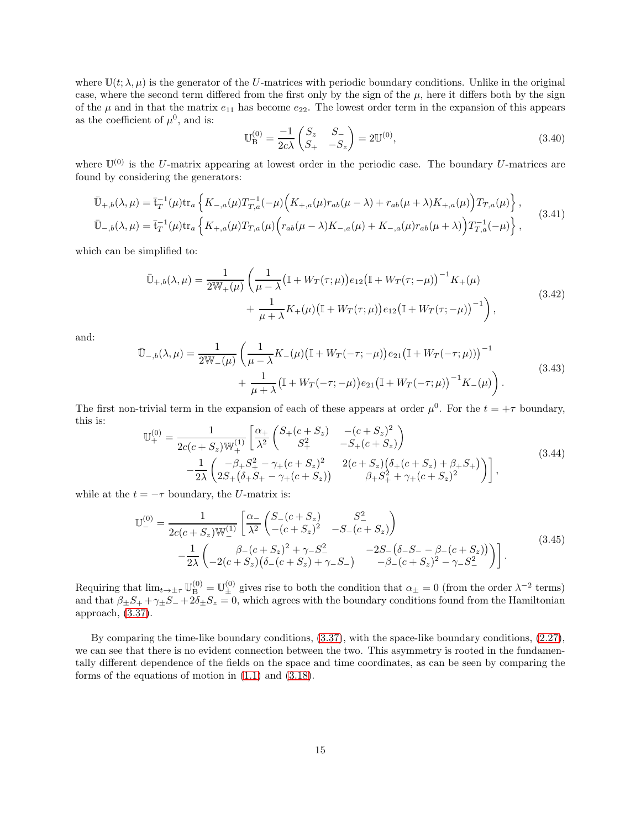where  $\mathbb{U}(t; \lambda, \mu)$  is the generator of the U-matrices with periodic boundary conditions. Unlike in the original case, where the second term differed from the first only by the sign of the  $\mu$ , here it differs both by the sign of the  $\mu$  and in that the matrix  $e_{11}$  has become  $e_{22}$ . The lowest order term in the expansion of this appears as the coefficient of  $\mu^0$ , and is:

$$
\mathbb{U}_{\mathcal{B}}^{(0)} = \frac{-1}{2c\lambda} \begin{pmatrix} S_z & S_- \\ S_+ & -S_z \end{pmatrix} = 2\mathbb{U}^{(0)},\tag{3.40}
$$

where  $\mathbb{U}^{(0)}$  is the U-matrix appearing at lowest order in the periodic case. The boundary U-matrices are found by considering the generators:

$$
\bar{\mathbb{U}}_{+,b}(\lambda,\mu) = \bar{\mathfrak{t}}_T^{-1}(\mu) \text{tr}_a \left\{ K_{-,a}(\mu) T_{T,a}^{-1}(-\mu) \Big( K_{+,a}(\mu) r_{ab}(\mu - \lambda) + r_{ab}(\mu + \lambda) K_{+,a}(\mu) \Big) T_{T,a}(\mu) \right\},
$$
\n
$$
\bar{\mathbb{U}}_{-,b}(\lambda,\mu) = \bar{\mathfrak{t}}_T^{-1}(\mu) \text{tr}_a \left\{ K_{+,a}(\mu) T_{T,a}(\mu) \Big( r_{ab}(\mu - \lambda) K_{-,a}(\mu) + K_{-,a}(\mu) r_{ab}(\mu + \lambda) \Big) T_{T,a}^{-1}(-\mu) \right\},
$$
\n(3.41)

which can be simplified to:

$$
\bar{\mathbb{U}}_{+,b}(\lambda,\mu) = \frac{1}{2\mathbb{W}_+(\mu)} \left( \frac{1}{\mu - \lambda} \big( \mathbb{I} + W_T(\tau;\mu) \big) e_{12} \big( \mathbb{I} + W_T(\tau; -\mu) \big)^{-1} K_+(\mu) \right. \\
\left. + \frac{1}{\mu + \lambda} K_+(\mu) \big( \mathbb{I} + W_T(\tau;\mu) \big) e_{12} \big( \mathbb{I} + W_T(\tau; -\mu) \big)^{-1} \right),
$$
\n(3.42)

and:

$$
\bar{\mathbb{U}}_{-,b}(\lambda,\mu) = \frac{1}{2\mathbb{W}_-(\mu)} \left( \frac{1}{\mu - \lambda} K_-(\mu) \big( \mathbb{I} + W_T(-\tau; -\mu) \big) e_{21} \big( \mathbb{I} + W_T(-\tau; \mu) \big) \right)^{-1} + \frac{1}{\mu + \lambda} \big( \mathbb{I} + W_T(-\tau; -\mu) \big) e_{21} \big( \mathbb{I} + W_T(-\tau; \mu) \big)^{-1} K_-(\mu) \right).
$$
\n(3.43)

The first non-trivial term in the expansion of each of these appears at order  $\mu^0$ . For the  $t = +\tau$  boundary, this is:

$$
\mathbb{U}_{+}^{(0)} = \frac{1}{2c(c+S_{z})\mathbb{W}_{+}^{(1)}} \left[ \frac{\alpha_{+}}{\lambda^{2}} \begin{pmatrix} S_{+}(c+S_{z}) & -(c+S_{z})^{2} \\ S_{+}^{2} & -S_{+}(c+S_{z}) \end{pmatrix} - \frac{1}{2\lambda} \begin{pmatrix} -\beta_{+}S_{+}^{2} - \gamma_{+}(c+S_{z})^{2} & 2(c+S_{z})(\delta_{+}(c+S_{z})+\beta_{+}S_{+}) \\ 2S_{+}(\delta_{+}S_{+} - \gamma_{+}(c+S_{z})) & \beta_{+}S_{+}^{2} + \gamma_{+}(c+S_{z})^{2} \end{pmatrix} \right],
$$
\n(3.44)

while at the  $t = -\tau$  boundary, the U-matrix is:

$$
\mathbb{U}_{-}^{(0)} = \frac{1}{2c(c+S_z)\mathbb{W}_{-}^{(1)}} \left[ \frac{\alpha_{-}}{\lambda^2} \begin{pmatrix} S_{-}(c+S_z) & S_{-}^2 \ - (c+S_z)^2 & -S_{-}(c+S_z) \end{pmatrix} - \frac{1}{2\lambda} \begin{pmatrix} \beta_{-}(c+S_z)^2 + \gamma_{-}S_{-}^2 & -2S_{-}(\delta_{-}S_{-} - \beta_{-}(c+S_z)) \ -2(c+S_z)(\delta_{-}(c+S_z) + \gamma_{-}S_{-}) & -\beta_{-}(c+S_z)^2 - \gamma_{-}S_{-}^2 \end{pmatrix} \right].
$$
\n(3.45)

Requiring that  $\lim_{t\to\pm\tau}\mathbb{U}_{\text{B}}^{(0)}=\mathbb{U}_{\pm}^{(0)}$  gives rise to both the condition that  $\alpha_{\pm}=0$  (from the order  $\lambda^{-2}$  terms) and that  $\beta_{\pm}S_+ + \gamma_{\pm}S_- + 2\delta_{\pm}S_z = 0$ , which agrees with the boundary conditions found from the Hamiltonian approach, [\(3.37\)](#page-13-0).

By comparing the time-like boundary conditions, [\(3.37\)](#page-13-0), with the space-like boundary conditions, [\(2.27\)](#page-6-0), we can see that there is no evident connection between the two. This asymmetry is rooted in the fundamentally different dependence of the fields on the space and time coordinates, as can be seen by comparing the forms of the equations of motion in [\(1.1\)](#page-0-1) and [\(3.18\)](#page-10-4).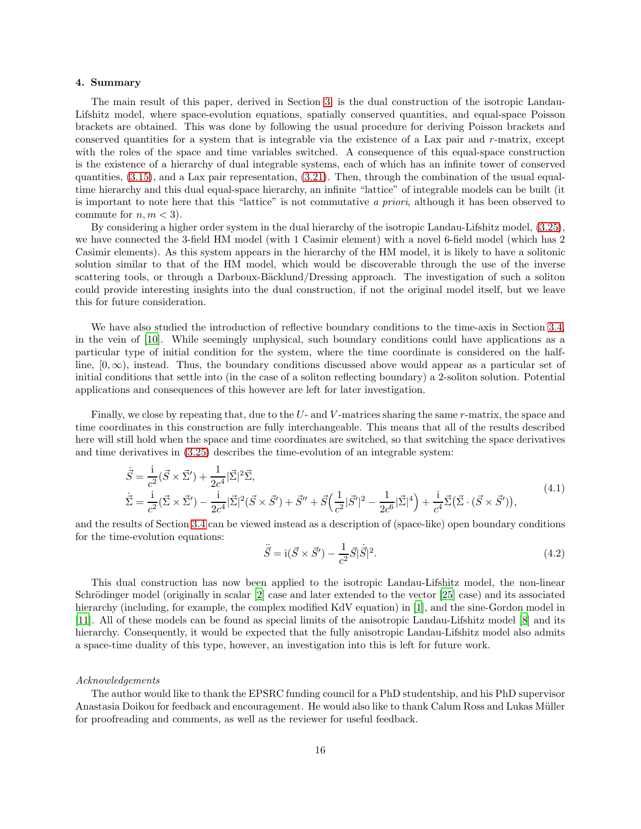#### 4. Summary

The main result of this paper, derived in Section [3,](#page-7-0) is the dual construction of the isotropic Landau-Lifshitz model, where space-evolution equations, spatially conserved quantities, and equal-space Poisson brackets are obtained. This was done by following the usual procedure for deriving Poisson brackets and conserved quantities for a system that is integrable via the existence of a Lax pair and r-matrix, except with the roles of the space and time variables switched. A consequence of this equal-space construction is the existence of a hierarchy of dual integrable systems, each of which has an infinite tower of conserved quantities, [\(3.15\)](#page-9-2), and a Lax pair representation, [\(3.21\)](#page-10-1). Then, through the combination of the usual equaltime hierarchy and this dual equal-space hierarchy, an infinite "lattice" of integrable models can be built (it is important to note here that this "lattice" is not commutative *a priori*, although it has been observed to commute for  $n, m < 3$ ).

By considering a higher order system in the dual hierarchy of the isotropic Landau-Lifshitz model, [\(3.25\)](#page-11-0), we have connected the 3-field HM model (with 1 Casimir element) with a novel 6-field model (which has 2 Casimir elements). As this system appears in the hierarchy of the HM model, it is likely to have a solitonic solution similar to that of the HM model, which would be discoverable through the use of the inverse scattering tools, or through a Darboux-Bäcklund/Dressing approach. The investigation of such a soliton could provide interesting insights into the dual construction, if not the original model itself, but we leave this for future consideration.

We have also studied the introduction of reflective boundary conditions to the time-axis in Section [3.4,](#page-12-0) in the vein of [\[10\]](#page-16-9). While seemingly unphysical, such boundary conditions could have applications as a particular type of initial condition for the system, where the time coordinate is considered on the halfline,  $[0, \infty)$ , instead. Thus, the boundary conditions discussed above would appear as a particular set of initial conditions that settle into (in the case of a soliton reflecting boundary) a 2-soliton solution. Potential applications and consequences of this however are left for later investigation.

Finally, we close by repeating that, due to the  $U$ - and  $V$ -matrices sharing the same  $r$ -matrix, the space and time coordinates in this construction are fully interchangeable. This means that all of the results described here will still hold when the space and time coordinates are switched, so that switching the space derivatives and time derivatives in [\(3.25\)](#page-11-0) describes the time-evolution of an integrable system:

$$
\dot{\vec{S}} = \frac{\dot{i}}{c^2} (\vec{S} \times \vec{\Sigma}') + \frac{1}{2c^4} |\vec{\Sigma}|^2 \vec{\Sigma},
$$
\n
$$
\dot{\vec{\Sigma}} = \frac{\dot{i}}{c^2} (\vec{\Sigma} \times \vec{\Sigma}') - \frac{\dot{i}}{2c^4} |\vec{\Sigma}|^2 (\vec{S} \times \vec{S}') + \vec{S}'' + \vec{S} \Big( \frac{1}{c^2} |\vec{S}'|^2 - \frac{1}{2c^6} |\vec{\Sigma}|^4 \Big) + \frac{\dot{i}}{c^4} \vec{\Sigma} (\vec{\Sigma} \cdot (\vec{S} \times \vec{S}'))_{} ,
$$
\n(4.1)

and the results of Section [3.4](#page-12-0) can be viewed instead as a description of (space-like) open boundary conditions for the time-evolution equations:

$$
\ddot{\vec{S}} = i(\vec{S} \times \vec{S}') - \frac{1}{c^2} \vec{S} |\dot{\vec{S}}|^2.
$$
\n(4.2)

This dual construction has now been applied to the isotropic Landau-Lifshitz model, the non-linear Schrödinger model (originally in scalar  $[2]$  case and later extended to the vector  $[25]$  case) and its associated hierarchy (including, for example, the complex modified KdV equation) in [\[1\]](#page-16-0), and the sine-Gordon model in [\[11\]](#page-16-16). All of these models can be found as special limits of the anisotropic Landau-Lifshitz model [\[8\]](#page-16-7) and its hierarchy. Consequently, it would be expected that the fully anisotropic Landau-Lifshitz model also admits a space-time duality of this type, however, an investigation into this is left for future work.

### *Acknowledgements*

The author would like to thank the EPSRC funding council for a PhD studentship, and his PhD supervisor Anastasia Doikou for feedback and encouragement. He would also like to thank Calum Ross and Lukas Müller for proofreading and comments, as well as the reviewer for useful feedback.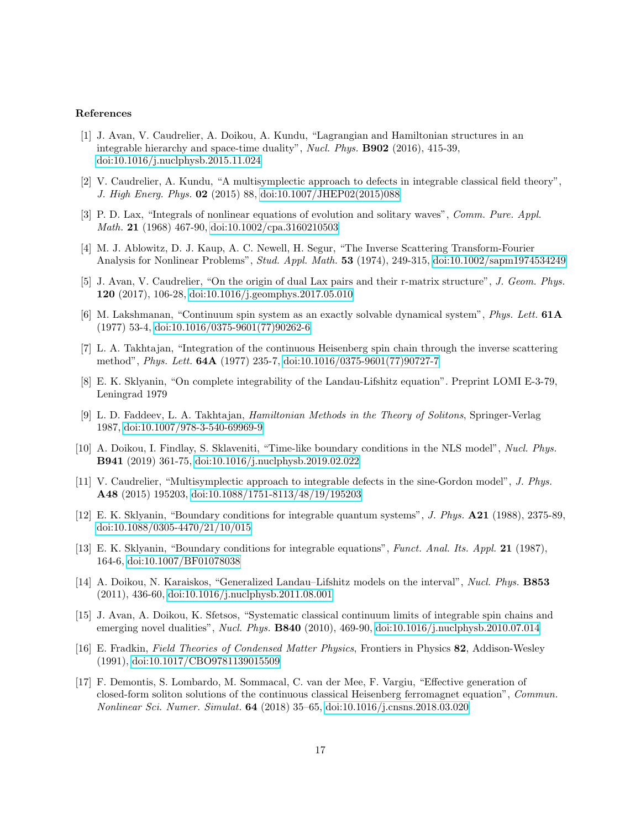## References

- <span id="page-16-0"></span>[1] J. Avan, V. Caudrelier, A. Doikou, A. Kundu, "Lagrangian and Hamiltonian structures in an integrable hierarchy and space-time duality", *Nucl. Phys.* B902 (2016), 415-39, [doi:10.1016/j.nuclphysb.2015.11.024](https://doi.org/10.1016/j.nuclphysb.2015.11.024)
- <span id="page-16-1"></span>[2] V. Caudrelier, A. Kundu, "A multisymplectic approach to defects in integrable classical field theory", *J. High Energ. Phys.* 02 (2015) 88, [doi:10.1007/JHEP02\(2015\)088](http://dx.doi.org/10.1007/JHEP02(2015)088)
- <span id="page-16-2"></span>[3] P. D. Lax, "Integrals of nonlinear equations of evolution and solitary waves", *Comm. Pure. Appl. Math.* 21 (1968) 467-90, [doi:10.1002/cpa.3160210503](https://doi.org/10.1002/cpa.3160210503)
- <span id="page-16-3"></span>[4] M. J. Ablowitz, D. J. Kaup, A. C. Newell, H. Segur, "The Inverse Scattering Transform-Fourier Analysis for Nonlinear Problems", *Stud. Appl. Math.* 53 (1974), 249-315, [doi:10.1002/sapm1974534249](https://doi.org/10.1002/sapm1974534249)
- <span id="page-16-4"></span>[5] J. Avan, V. Caudrelier, "On the origin of dual Lax pairs and their r-matrix structure", *J. Geom. Phys.* 120 (2017), 106-28, [doi:10.1016/j.geomphys.2017.05.010](https://doi.org/10.1016/j.geomphys.2017.05.010)
- <span id="page-16-5"></span>[6] M. Lakshmanan, "Continuum spin system as an exactly solvable dynamical system", *Phys. Lett.* 61A (1977) 53-4, [doi:10.1016/0375-9601\(77\)90262-6](https://doi.org/10.1016/0375-9601(77)90262-6)
- <span id="page-16-6"></span>[7] L. A. Takhtajan, "Integration of the continuous Heisenberg spin chain through the inverse scattering method", *Phys. Lett.* 64A (1977) 235-7, [doi:10.1016/0375-9601\(77\)90727-7](https://doi.org/10.1016/0375-9601(77)90727-7)
- <span id="page-16-7"></span>[8] E. K. Sklyanin, "On complete integrability of the Landau-Lifshitz equation". Preprint LOMI E-3-79, Leningrad 1979
- <span id="page-16-8"></span>[9] L. D. Faddeev, L. A. Takhtajan, *Hamiltonian Methods in the Theory of Solitons*, Springer-Verlag 1987, [doi:10.1007/978-3-540-69969-9](https://doi.org/10.1007/978-3-540-69969-9)
- <span id="page-16-9"></span>[10] A. Doikou, I. Findlay, S. Sklaveniti, "Time-like boundary conditions in the NLS model", *Nucl. Phys.* B941 (2019) 361-75, [doi:10.1016/j.nuclphysb.2019.02.022](https://doi.org/10.1016/j.nuclphysb.2019.02.022)
- <span id="page-16-16"></span>[11] V. Caudrelier, "Multisymplectic approach to integrable defects in the sine-Gordon model", *J. Phys.* A48 (2015) 195203, [doi:10.1088/1751-8113/48/19/195203](https://doi.org/10.1088/1751-8113/48/19/195203)
- <span id="page-16-10"></span>[12] E. K. Sklyanin, "Boundary conditions for integrable quantum systems", *J. Phys.* A21 (1988), 2375-89, [doi:10.1088/0305-4470/21/10/015](https://doi.org/10.1088/0305-4470/21/10/015)
- <span id="page-16-11"></span>[13] E. K. Sklyanin, "Boundary conditions for integrable equations", *Funct. Anal. Its. Appl.* 21 (1987), 164-6, [doi:10.1007/BF01078038](https://doi.org/10.1007/BF01078038)
- <span id="page-16-12"></span>[14] A. Doikou, N. Karaiskos, "Generalized Landau–Lifshitz models on the interval", *Nucl. Phys.* B853 (2011), 436-60, [doi:10.1016/j.nuclphysb.2011.08.001](https://doi.org/10.1016/j.nuclphysb.2011.08.001)
- <span id="page-16-13"></span>[15] J. Avan, A. Doikou, K. Sfetsos, "Systematic classical continuum limits of integrable spin chains and emerging novel dualities", *Nucl. Phys.* B840 (2010), 469-90, [doi:10.1016/j.nuclphysb.2010.07.014](https://doi.org/10.1016/j.nuclphysb.2010.07.014)
- <span id="page-16-14"></span>[16] E. Fradkin, *Field Theories of Condensed Matter Physics*, Frontiers in Physics 82, Addison-Wesley (1991), [doi:10.1017/CBO9781139015509](https://doi.org/10.1017/CBO9781139015509)
- <span id="page-16-15"></span>[17] F. Demontis, S. Lombardo, M. Sommacal, C. van der Mee, F. Vargiu, "Effective generation of closed-form soliton solutions of the continuous classical Heisenberg ferromagnet equation", *Commun. Nonlinear Sci. Numer. Simulat.* 64 (2018) 35–65, [doi:10.1016/j.cnsns.2018.03.020](https://doi.org/10.1016/j.cnsns.2018.03.020)